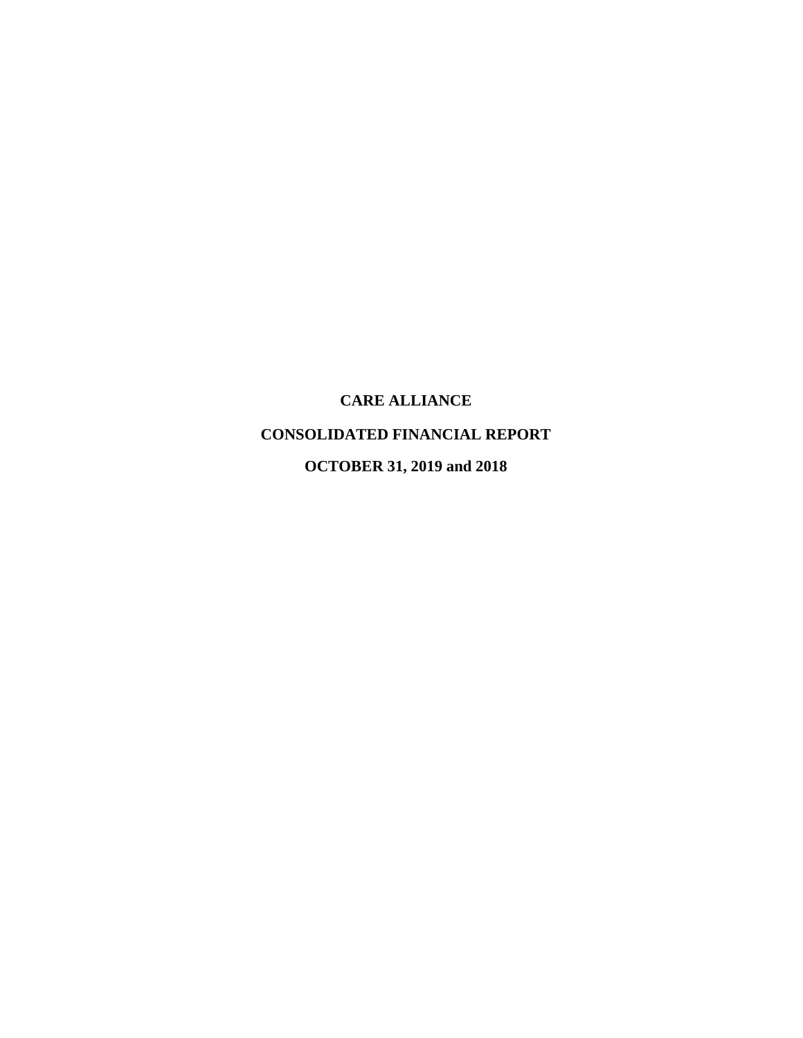# **CONSOLIDATED FINANCIAL REPORT**

**OCTOBER 31, 2019 and 2018**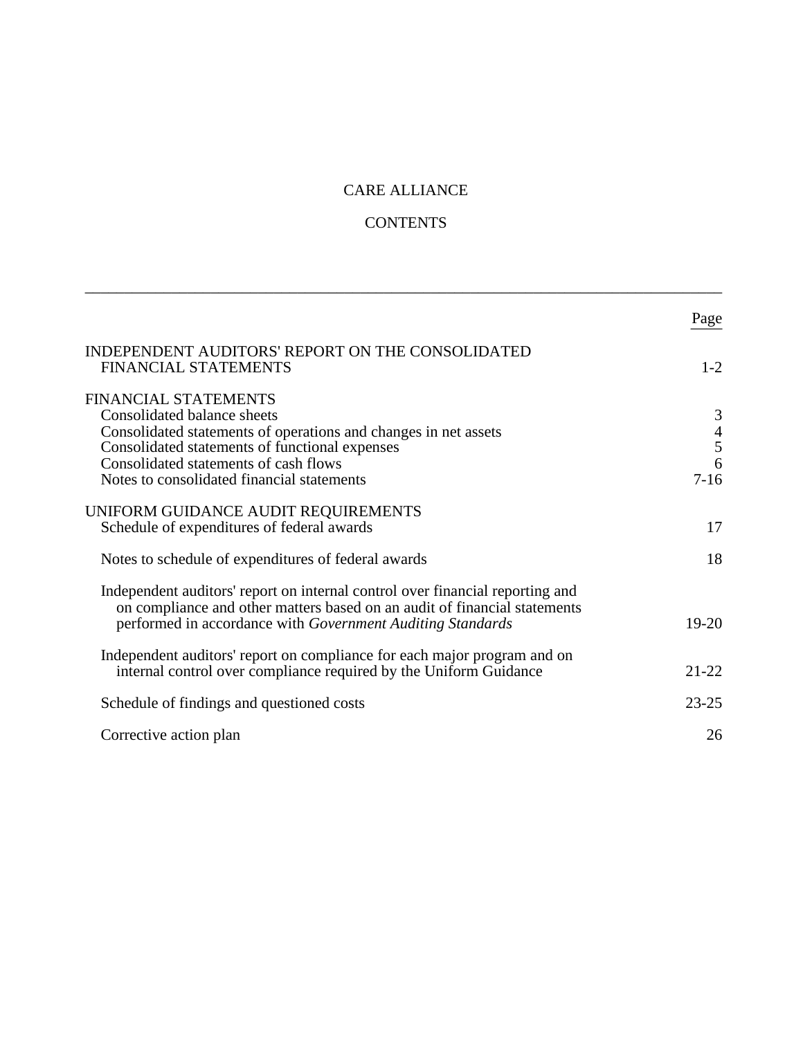# **CONTENTS**

\_\_\_\_\_\_\_\_\_\_\_\_\_\_\_\_\_\_\_\_\_\_\_\_\_\_\_\_\_\_\_\_\_\_\_\_\_\_\_\_\_\_\_\_\_\_\_\_\_\_\_\_\_\_\_\_\_\_\_\_\_\_\_\_\_\_\_\_\_\_\_\_\_\_\_\_\_\_\_\_\_

|                                                                                                                                                                                                                                                                 | Page                                                      |
|-----------------------------------------------------------------------------------------------------------------------------------------------------------------------------------------------------------------------------------------------------------------|-----------------------------------------------------------|
| INDEPENDENT AUDITORS' REPORT ON THE CONSOLIDATED<br>FINANCIAL STATEMENTS                                                                                                                                                                                        | $1 - 2$                                                   |
| FINANCIAL STATEMENTS<br>Consolidated balance sheets<br>Consolidated statements of operations and changes in net assets<br>Consolidated statements of functional expenses<br>Consolidated statements of cash flows<br>Notes to consolidated financial statements | 3<br>$\begin{array}{c} 4 \\ 5 \\ 6 \end{array}$<br>$7-16$ |
| UNIFORM GUIDANCE AUDIT REQUIREMENTS<br>Schedule of expenditures of federal awards                                                                                                                                                                               | 17                                                        |
| Notes to schedule of expenditures of federal awards                                                                                                                                                                                                             | 18                                                        |
| Independent auditors' report on internal control over financial reporting and<br>on compliance and other matters based on an audit of financial statements<br>performed in accordance with Government Auditing Standards                                        | $19-20$                                                   |
| Independent auditors' report on compliance for each major program and on<br>internal control over compliance required by the Uniform Guidance                                                                                                                   | $21 - 22$                                                 |
| Schedule of findings and questioned costs                                                                                                                                                                                                                       | $23 - 25$                                                 |
| Corrective action plan                                                                                                                                                                                                                                          | 26                                                        |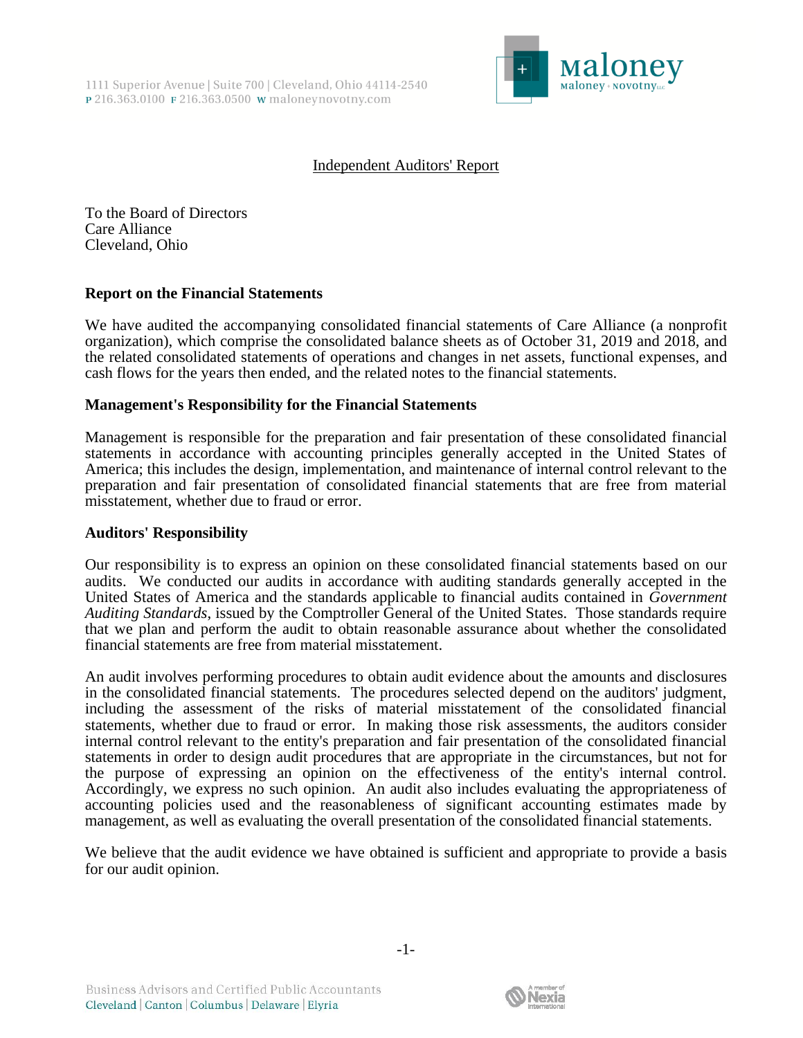

# Independent Auditors' Report

To the Board of Directors Care Alliance Cleveland, Ohio

# **Report on the Financial Statements**

We have audited the accompanying consolidated financial statements of Care Alliance (a nonprofit organization), which comprise the consolidated balance sheets as of October 31, 2019 and 2018, and the related consolidated statements of operations and changes in net assets, functional expenses, and cash flows for the years then ended, and the related notes to the financial statements.

## **Management's Responsibility for the Financial Statements**

Management is responsible for the preparation and fair presentation of these consolidated financial statements in accordance with accounting principles generally accepted in the United States of America; this includes the design, implementation, and maintenance of internal control relevant to the preparation and fair presentation of consolidated financial statements that are free from material misstatement, whether due to fraud or error.

## **Auditors' Responsibility**

Our responsibility is to express an opinion on these consolidated financial statements based on our audits. We conducted our audits in accordance with auditing standards generally accepted in the United States of America and the standards applicable to financial audits contained in *Government Auditing Standards*, issued by the Comptroller General of the United States. Those standards require that we plan and perform the audit to obtain reasonable assurance about whether the consolidated financial statements are free from material misstatement.

An audit involves performing procedures to obtain audit evidence about the amounts and disclosures in the consolidated financial statements. The procedures selected depend on the auditors' judgment, including the assessment of the risks of material misstatement of the consolidated financial statements, whether due to fraud or error. In making those risk assessments, the auditors consider internal control relevant to the entity's preparation and fair presentation of the consolidated financial statements in order to design audit procedures that are appropriate in the circumstances, but not for the purpose of expressing an opinion on the effectiveness of the entity's internal control. Accordingly, we express no such opinion. An audit also includes evaluating the appropriateness of accounting policies used and the reasonableness of significant accounting estimates made by management, as well as evaluating the overall presentation of the consolidated financial statements.

We believe that the audit evidence we have obtained is sufficient and appropriate to provide a basis for our audit opinion.

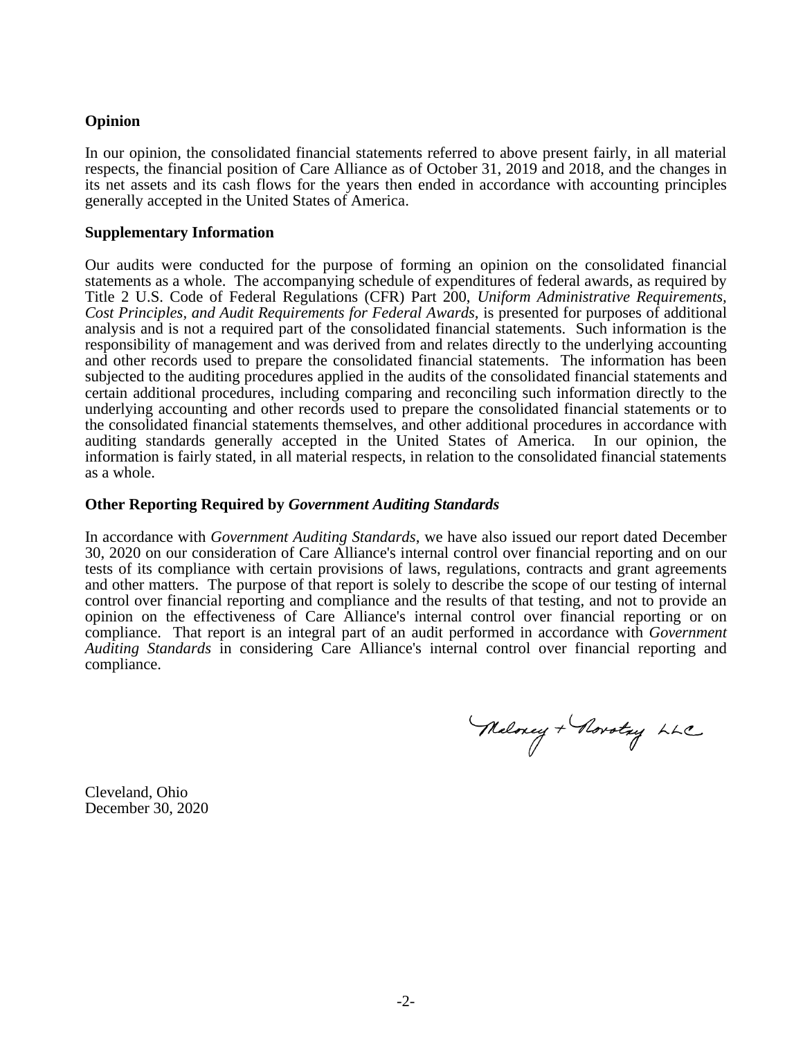## **Opinion**

In our opinion, the consolidated financial statements referred to above present fairly, in all material respects, the financial position of Care Alliance as of October 31, 2019 and 2018, and the changes in its net assets and its cash flows for the years then ended in accordance with accounting principles generally accepted in the United States of America.

#### **Supplementary Information**

Our audits were conducted for the purpose of forming an opinion on the consolidated financial statements as a whole. The accompanying schedule of expenditures of federal awards, as required by Title 2 U.S. Code of Federal Regulations (CFR) Part 200, *Uniform Administrative Requirements, Cost Principles, and Audit Requirements for Federal Awards,* is presented for purposes of additional analysis and is not a required part of the consolidated financial statements. Such information is the responsibility of management and was derived from and relates directly to the underlying accounting and other records used to prepare the consolidated financial statements. The information has been subjected to the auditing procedures applied in the audits of the consolidated financial statements and certain additional procedures, including comparing and reconciling such information directly to the underlying accounting and other records used to prepare the consolidated financial statements or to the consolidated financial statements themselves, and other additional procedures in accordance with auditing standards generally accepted in the United States of America. In our opinion, the information is fairly stated, in all material respects, in relation to the consolidated financial statements as a whole.

### **Other Reporting Required by** *Government Auditing Standards*

In accordance with *Government Auditing Standards*, we have also issued our report dated December 30, 2020 on our consideration of Care Alliance's internal control over financial reporting and on our tests of its compliance with certain provisions of laws, regulations, contracts and grant agreements and other matters. The purpose of that report is solely to describe the scope of our testing of internal control over financial reporting and compliance and the results of that testing, and not to provide an opinion on the effectiveness of Care Alliance's internal control over financial reporting or on compliance. That report is an integral part of an audit performed in accordance with *Government Auditing Standards* in considering Care Alliance's internal control over financial reporting and compliance.

Neloney + Rovotry LLC

Cleveland, Ohio December 30, 2020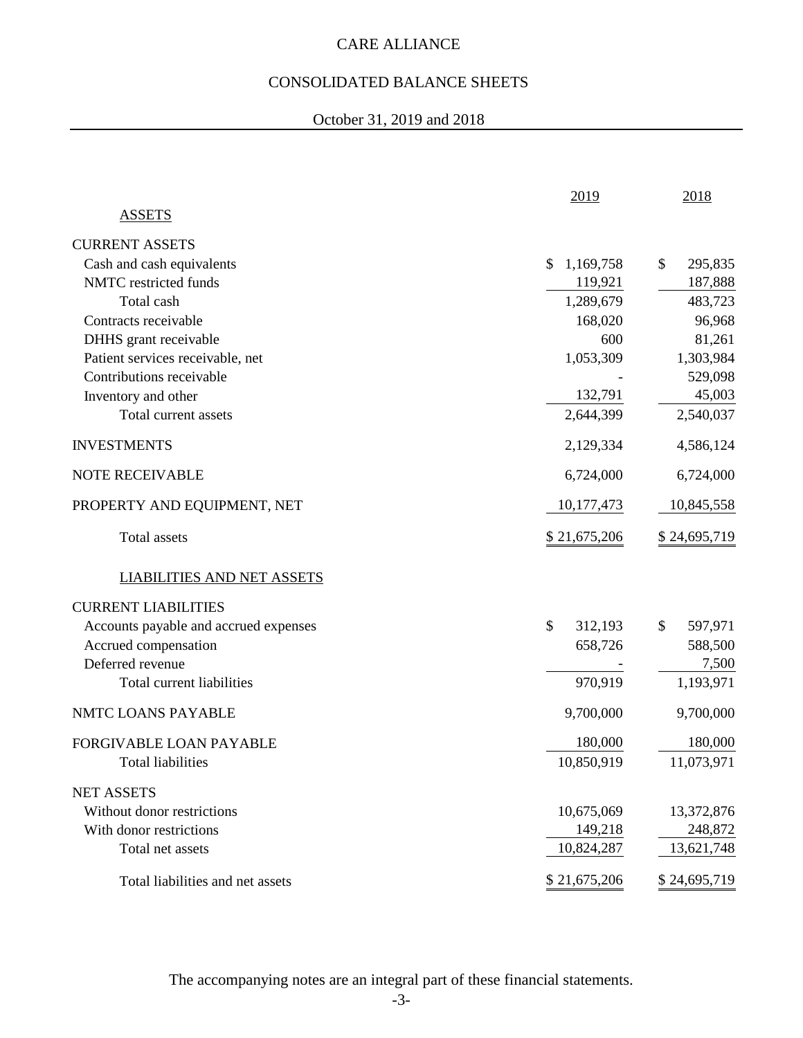# CONSOLIDATED BALANCE SHEETS

# October 31, 2019 and 2018

|                                       | 2019                     | 2018          |
|---------------------------------------|--------------------------|---------------|
| <b>ASSETS</b>                         |                          |               |
| <b>CURRENT ASSETS</b>                 |                          |               |
| Cash and cash equivalents             | \$<br>1,169,758          | \$<br>295,835 |
| NMTC restricted funds                 | 119,921                  | 187,888       |
| Total cash                            | 1,289,679                | 483,723       |
| Contracts receivable                  | 168,020                  | 96,968        |
| DHHS grant receivable                 | 600                      | 81,261        |
| Patient services receivable, net      | 1,053,309                | 1,303,984     |
| Contributions receivable              |                          | 529,098       |
| Inventory and other                   | 132,791                  | 45,003        |
| Total current assets                  | 2,644,399                | 2,540,037     |
| <b>INVESTMENTS</b>                    | 2,129,334                | 4,586,124     |
| <b>NOTE RECEIVABLE</b>                | 6,724,000                | 6,724,000     |
| PROPERTY AND EQUIPMENT, NET           | 10,177,473               | 10,845,558    |
| <b>Total assets</b>                   | \$21,675,206             | \$24,695,719  |
| <b>LIABILITIES AND NET ASSETS</b>     |                          |               |
| <b>CURRENT LIABILITIES</b>            |                          |               |
| Accounts payable and accrued expenses | $\mathcal{S}$<br>312,193 | \$<br>597,971 |
| Accrued compensation                  | 658,726                  | 588,500       |
| Deferred revenue                      |                          | 7,500         |
| Total current liabilities             | 970,919                  | 1,193,971     |
| NMTC LOANS PAYABLE                    | 9,700,000                | 9,700,000     |
| FORGIVABLE LOAN PAYABLE               | 180,000                  | 180,000       |
| Total liabilities                     | 10,850,919               | 11,073,971    |
| <b>NET ASSETS</b>                     |                          |               |
| Without donor restrictions            | 10,675,069               | 13,372,876    |
| With donor restrictions               | 149,218                  | 248,872       |
| Total net assets                      | 10,824,287               | 13,621,748    |
| Total liabilities and net assets      | \$21,675,206             | \$24,695,719  |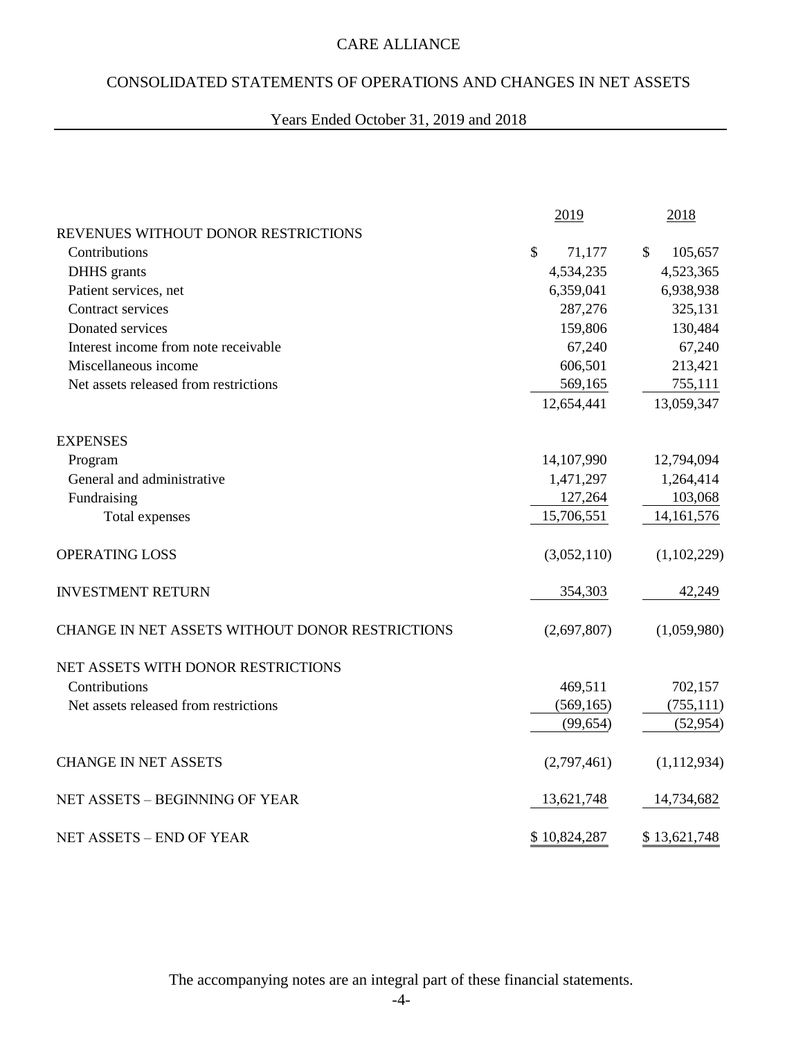# CONSOLIDATED STATEMENTS OF OPERATIONS AND CHANGES IN NET ASSETS

# Years Ended October 31, 2019 and 2018

|                                                 | 2019                                | 2018          |
|-------------------------------------------------|-------------------------------------|---------------|
| REVENUES WITHOUT DONOR RESTRICTIONS             |                                     |               |
| Contributions                                   | $\boldsymbol{\mathsf{S}}$<br>71,177 | \$<br>105,657 |
| DHHS grants                                     | 4,534,235                           | 4,523,365     |
| Patient services, net                           | 6,359,041                           | 6,938,938     |
| Contract services                               | 287,276                             | 325,131       |
| Donated services                                | 159,806                             | 130,484       |
| Interest income from note receivable            | 67,240                              | 67,240        |
| Miscellaneous income                            | 606,501                             | 213,421       |
| Net assets released from restrictions           | 569,165                             | 755,111       |
|                                                 | 12,654,441                          | 13,059,347    |
| <b>EXPENSES</b>                                 |                                     |               |
| Program                                         | 14,107,990                          | 12,794,094    |
| General and administrative                      | 1,471,297                           | 1,264,414     |
| Fundraising                                     | 127,264                             | 103,068       |
| Total expenses                                  | 15,706,551                          | 14, 161, 576  |
| OPERATING LOSS                                  | (3,052,110)                         | (1,102,229)   |
| <b>INVESTMENT RETURN</b>                        | 354,303                             | 42,249        |
| CHANGE IN NET ASSETS WITHOUT DONOR RESTRICTIONS | (2,697,807)                         | (1,059,980)   |
| NET ASSETS WITH DONOR RESTRICTIONS              |                                     |               |
| Contributions                                   | 469,511                             | 702,157       |
| Net assets released from restrictions           | (569, 165)                          | (755, 111)    |
|                                                 | (99, 654)                           | (52, 954)     |
| <b>CHANGE IN NET ASSETS</b>                     | (2,797,461)                         | (1,112,934)   |
| NET ASSETS - BEGINNING OF YEAR                  | 13,621,748                          | 14,734,682    |
| NET ASSETS - END OF YEAR                        | \$10,824,287                        | \$13,621,748  |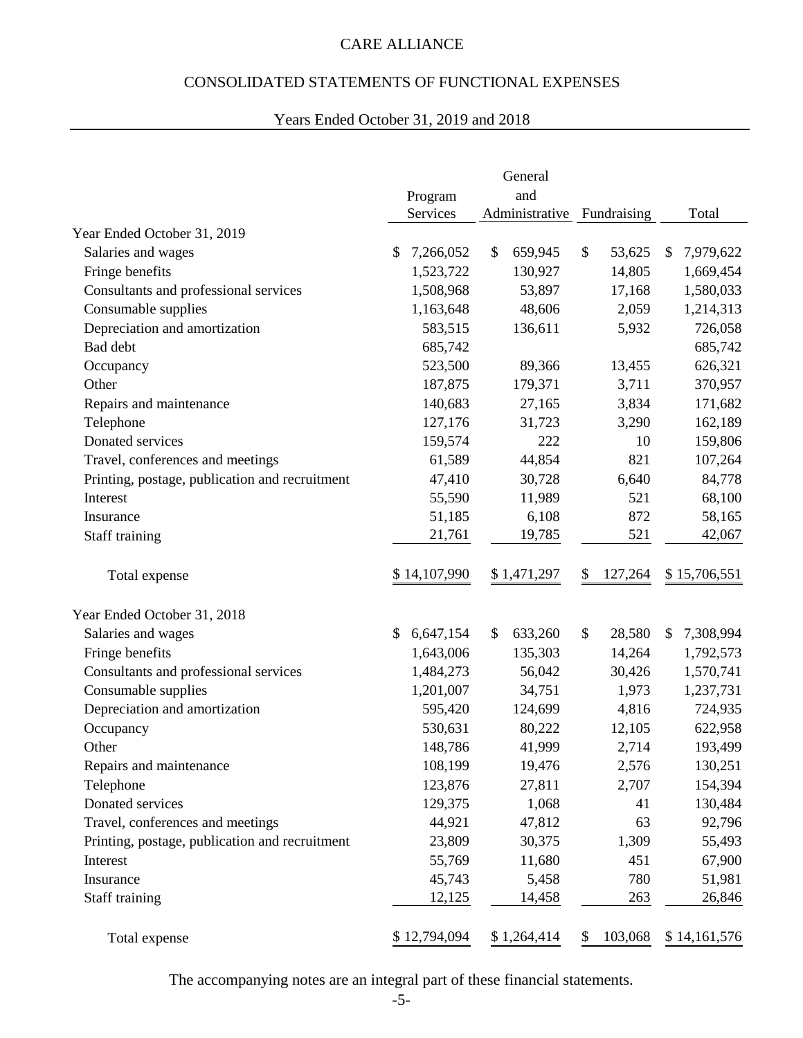# CONSOLIDATED STATEMENTS OF FUNCTIONAL EXPENSES

# Years Ended October 31, 2019 and 2018

|                                                | Program         | General<br>and |                |                                        |
|------------------------------------------------|-----------------|----------------|----------------|----------------------------------------|
| Year Ended October 31, 2019                    | Services        | Administrative | Fundraising    | Total                                  |
| Salaries and wages                             | \$<br>7,266,052 | \$<br>659,945  | \$<br>53,625   | 7,979,622<br>$\mathcal{L}$             |
| Fringe benefits                                | 1,523,722       | 130,927        | 14,805         | 1,669,454                              |
| Consultants and professional services          | 1,508,968       | 53,897         | 17,168         | 1,580,033                              |
| Consumable supplies                            | 1,163,648       | 48,606         | 2,059          | 1,214,313                              |
| Depreciation and amortization                  | 583,515         | 136,611        | 5,932          | 726,058                                |
| Bad debt                                       | 685,742         |                |                | 685,742                                |
| Occupancy                                      | 523,500         | 89,366         | 13,455         | 626,321                                |
| Other                                          | 187,875         | 179,371        | 3,711          | 370,957                                |
| Repairs and maintenance                        | 140,683         | 27,165         | 3,834          | 171,682                                |
| Telephone                                      | 127,176         | 31,723         | 3,290          | 162,189                                |
| Donated services                               | 159,574         | 222            | 10             | 159,806                                |
| Travel, conferences and meetings               | 61,589          | 44,854         | 821            | 107,264                                |
| Printing, postage, publication and recruitment | 47,410          | 30,728         | 6,640          | 84,778                                 |
| Interest                                       | 55,590          | 11,989         | 521            | 68,100                                 |
| Insurance                                      | 51,185          | 6,108          | 872            | 58,165                                 |
|                                                | 21,761          | 19,785         | 521            | 42,067                                 |
| Staff training                                 |                 |                |                |                                        |
| Total expense                                  | \$14,107,990    | \$1,471,297    | 127,264<br>\$  | \$15,706,551                           |
| Year Ended October 31, 2018                    |                 |                |                |                                        |
| Salaries and wages                             | \$<br>6,647,154 | 633,260<br>\$  | \$<br>28,580   | $\boldsymbol{\mathsf{S}}$<br>7,308,994 |
| Fringe benefits                                | 1,643,006       | 135,303        | 14,264         | 1,792,573                              |
| Consultants and professional services          | 1,484,273       | 56,042         | 30,426         | 1,570,741                              |
| Consumable supplies                            | 1,201,007       | 34,751         | 1,973          | 1,237,731                              |
| Depreciation and amortization                  | 595,420         | 124,699        | 4,816          | 724,935                                |
| Occupancy                                      | 530,631         | 80,222         | 12,105         | 622,958                                |
| Other                                          | 148,786         | 41,999         | 2,714          | 193,499                                |
| Repairs and maintenance                        | 108,199         | 19,476         | 2,576          | 130,251                                |
| Telephone                                      | 123,876         | 27,811         | 2,707          | 154,394                                |
| Donated services                               | 129,375         | 1,068          | 41             | 130,484                                |
| Travel, conferences and meetings               | 44,921          | 47,812         | 63             | 92,796                                 |
| Printing, postage, publication and recruitment | 23,809          | 30,375         | 1,309          | 55,493                                 |
| Interest                                       | 55,769          | 11,680         | 451            | 67,900                                 |
| Insurance                                      | 45,743          | 5,458          | 780            | 51,981                                 |
| Staff training                                 | 12,125          | 14,458         | 263            | 26,846                                 |
| Total expense                                  | \$12,794,094    | \$1,264,414    | 103,068<br>\$. | \$14,161,576                           |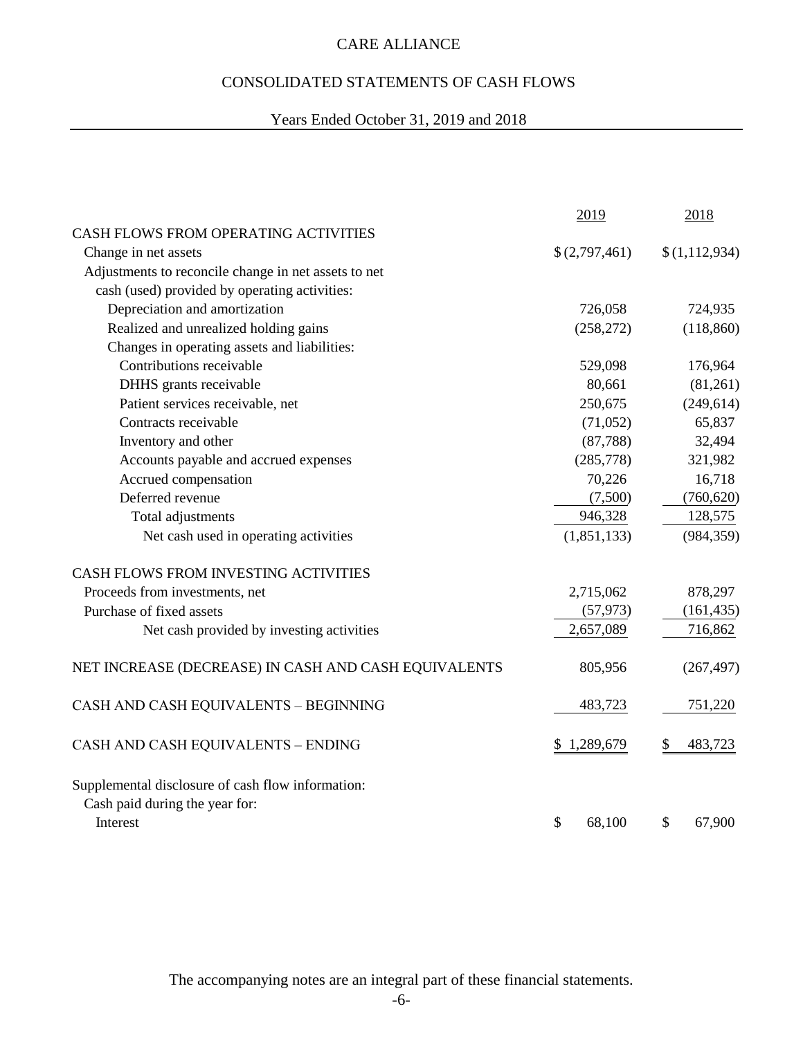# CONSOLIDATED STATEMENTS OF CASH FLOWS

# Years Ended October 31, 2019 and 2018

|                                                      | 2019          | 2018          |
|------------------------------------------------------|---------------|---------------|
| CASH FLOWS FROM OPERATING ACTIVITIES                 |               |               |
| Change in net assets                                 | \$(2,797,461) | \$(1,112,934) |
| Adjustments to reconcile change in net assets to net |               |               |
| cash (used) provided by operating activities:        |               |               |
| Depreciation and amortization                        | 726,058       | 724,935       |
| Realized and unrealized holding gains                | (258, 272)    | (118, 860)    |
| Changes in operating assets and liabilities:         |               |               |
| Contributions receivable                             | 529,098       | 176,964       |
| DHHS grants receivable                               | 80,661        | (81,261)      |
| Patient services receivable, net                     | 250,675       | (249, 614)    |
| Contracts receivable                                 | (71,052)      | 65,837        |
| Inventory and other                                  | (87,788)      | 32,494        |
| Accounts payable and accrued expenses                | (285,778)     | 321,982       |
| Accrued compensation                                 | 70,226        | 16,718        |
| Deferred revenue                                     | (7,500)       | (760, 620)    |
| Total adjustments                                    | 946,328       | 128,575       |
| Net cash used in operating activities                | (1,851,133)   | (984, 359)    |
| CASH FLOWS FROM INVESTING ACTIVITIES                 |               |               |
| Proceeds from investments, net                       | 2,715,062     | 878,297       |
| Purchase of fixed assets                             | (57, 973)     | (161, 435)    |
| Net cash provided by investing activities            | 2,657,089     | 716,862       |
| NET INCREASE (DECREASE) IN CASH AND CASH EQUIVALENTS | 805,956       | (267, 497)    |
| CASH AND CASH EQUIVALENTS - BEGINNING                | 483,723       | 751,220       |
| CASH AND CASH EQUIVALENTS - ENDING                   | \$1,289,679   | \$<br>483,723 |
| Supplemental disclosure of cash flow information:    |               |               |
| Cash paid during the year for:                       |               |               |
| Interest                                             | \$<br>68,100  | \$<br>67,900  |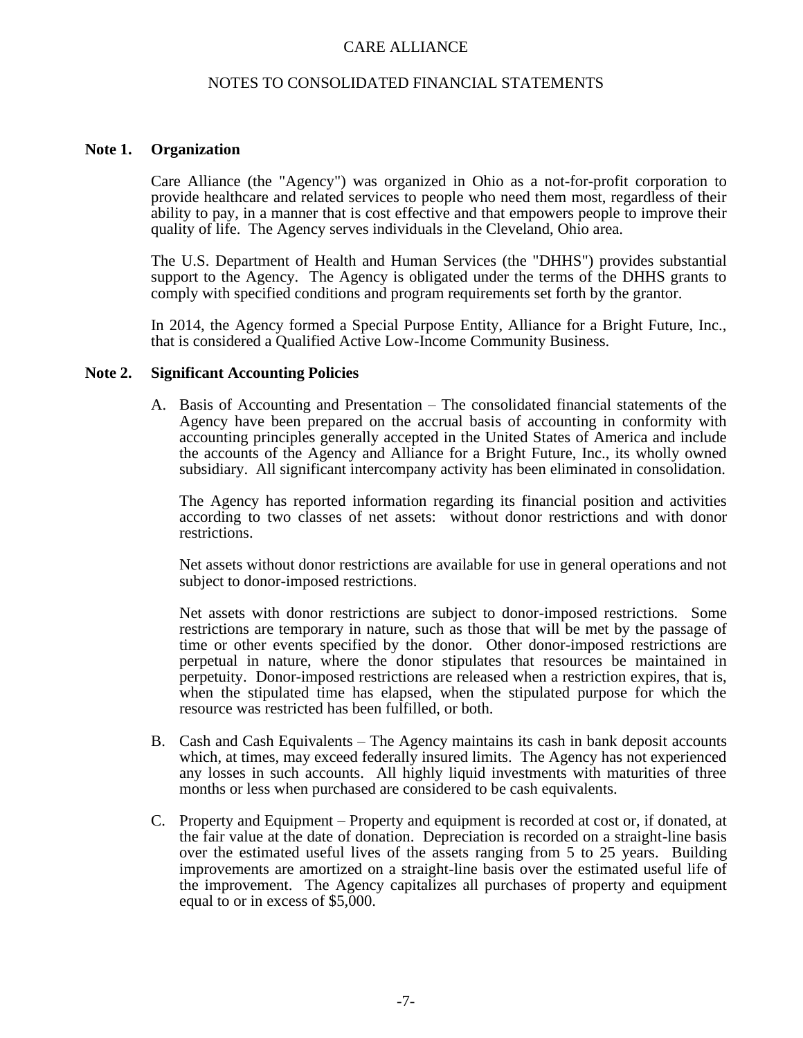#### NOTES TO CONSOLIDATED FINANCIAL STATEMENTS

#### **Note 1. Organization**

Care Alliance (the "Agency") was organized in Ohio as a not-for-profit corporation to provide healthcare and related services to people who need them most, regardless of their ability to pay, in a manner that is cost effective and that empowers people to improve their quality of life. The Agency serves individuals in the Cleveland, Ohio area.

The U.S. Department of Health and Human Services (the "DHHS") provides substantial support to the Agency. The Agency is obligated under the terms of the DHHS grants to comply with specified conditions and program requirements set forth by the grantor.

In 2014, the Agency formed a Special Purpose Entity, Alliance for a Bright Future, Inc., that is considered a Qualified Active Low-Income Community Business.

#### **Note 2. Significant Accounting Policies**

A. Basis of Accounting and Presentation – The consolidated financial statements of the Agency have been prepared on the accrual basis of accounting in conformity with accounting principles generally accepted in the United States of America and include the accounts of the Agency and Alliance for a Bright Future, Inc., its wholly owned subsidiary. All significant intercompany activity has been eliminated in consolidation.

The Agency has reported information regarding its financial position and activities according to two classes of net assets: without donor restrictions and with donor restrictions.

Net assets without donor restrictions are available for use in general operations and not subject to donor-imposed restrictions.

Net assets with donor restrictions are subject to donor-imposed restrictions. Some restrictions are temporary in nature, such as those that will be met by the passage of time or other events specified by the donor. Other donor-imposed restrictions are perpetual in nature, where the donor stipulates that resources be maintained in perpetuity. Donor-imposed restrictions are released when a restriction expires, that is, when the stipulated time has elapsed, when the stipulated purpose for which the resource was restricted has been fulfilled, or both.

- B. Cash and Cash Equivalents The Agency maintains its cash in bank deposit accounts which, at times, may exceed federally insured limits. The Agency has not experienced any losses in such accounts. All highly liquid investments with maturities of three months or less when purchased are considered to be cash equivalents.
- C. Property and Equipment Property and equipment is recorded at cost or, if donated, at the fair value at the date of donation. Depreciation is recorded on a straight-line basis over the estimated useful lives of the assets ranging from 5 to 25 years. Building improvements are amortized on a straight-line basis over the estimated useful life of the improvement. The Agency capitalizes all purchases of property and equipment equal to or in excess of \$5,000.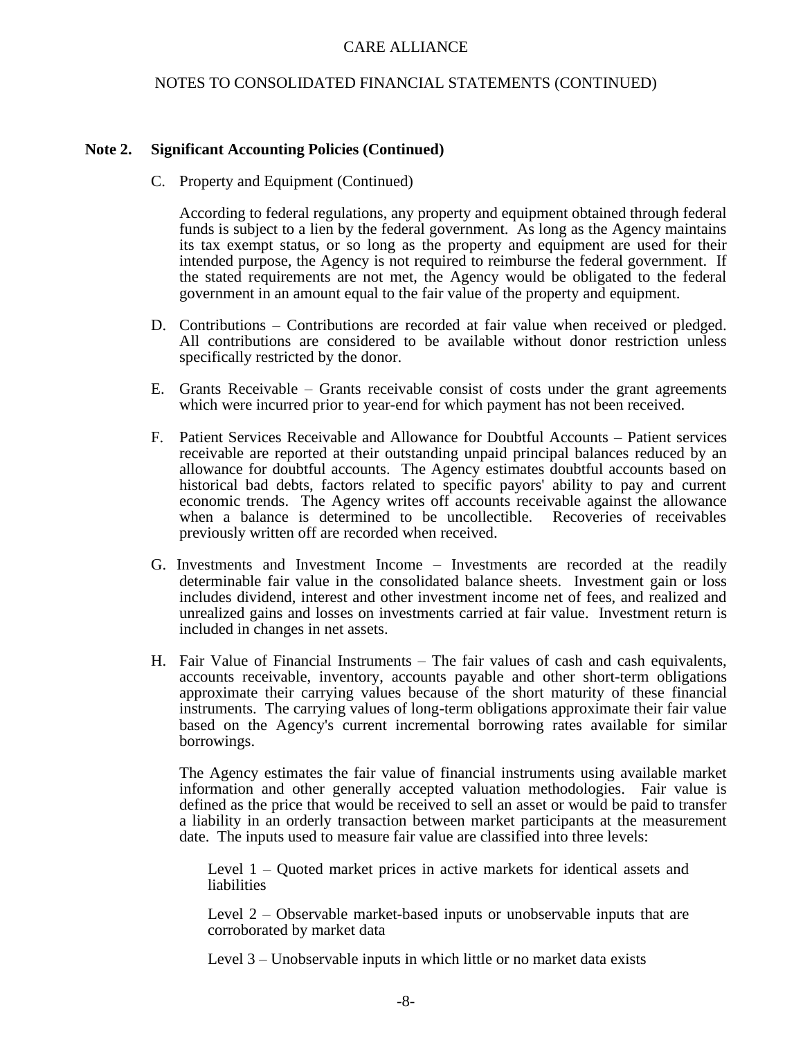### NOTES TO CONSOLIDATED FINANCIAL STATEMENTS (CONTINUED)

### **Note 2. Significant Accounting Policies (Continued)**

C. Property and Equipment (Continued)

According to federal regulations, any property and equipment obtained through federal funds is subject to a lien by the federal government. As long as the Agency maintains its tax exempt status, or so long as the property and equipment are used for their intended purpose, the Agency is not required to reimburse the federal government. If the stated requirements are not met, the Agency would be obligated to the federal government in an amount equal to the fair value of the property and equipment.

- D. Contributions Contributions are recorded at fair value when received or pledged. All contributions are considered to be available without donor restriction unless specifically restricted by the donor.
- E. Grants Receivable Grants receivable consist of costs under the grant agreements which were incurred prior to year-end for which payment has not been received.
- F. Patient Services Receivable and Allowance for Doubtful Accounts Patient services receivable are reported at their outstanding unpaid principal balances reduced by an allowance for doubtful accounts. The Agency estimates doubtful accounts based on historical bad debts, factors related to specific payors' ability to pay and current economic trends. The Agency writes off accounts receivable against the allowance when a balance is determined to be uncollectible. Recoveries of receivables when a balance is determined to be uncollectible. previously written off are recorded when received.
- G. Investments and Investment Income Investments are recorded at the readily determinable fair value in the consolidated balance sheets. Investment gain or loss includes dividend, interest and other investment income net of fees, and realized and unrealized gains and losses on investments carried at fair value. Investment return is included in changes in net assets.
- H. Fair Value of Financial Instruments The fair values of cash and cash equivalents, accounts receivable, inventory, accounts payable and other short-term obligations approximate their carrying values because of the short maturity of these financial instruments. The carrying values of long-term obligations approximate their fair value based on the Agency's current incremental borrowing rates available for similar borrowings.

The Agency estimates the fair value of financial instruments using available market information and other generally accepted valuation methodologies. Fair value is defined as the price that would be received to sell an asset or would be paid to transfer a liability in an orderly transaction between market participants at the measurement date. The inputs used to measure fair value are classified into three levels:

Level 1 – Quoted market prices in active markets for identical assets and liabilities

Level 2 – Observable market-based inputs or unobservable inputs that are corroborated by market data

Level 3 – Unobservable inputs in which little or no market data exists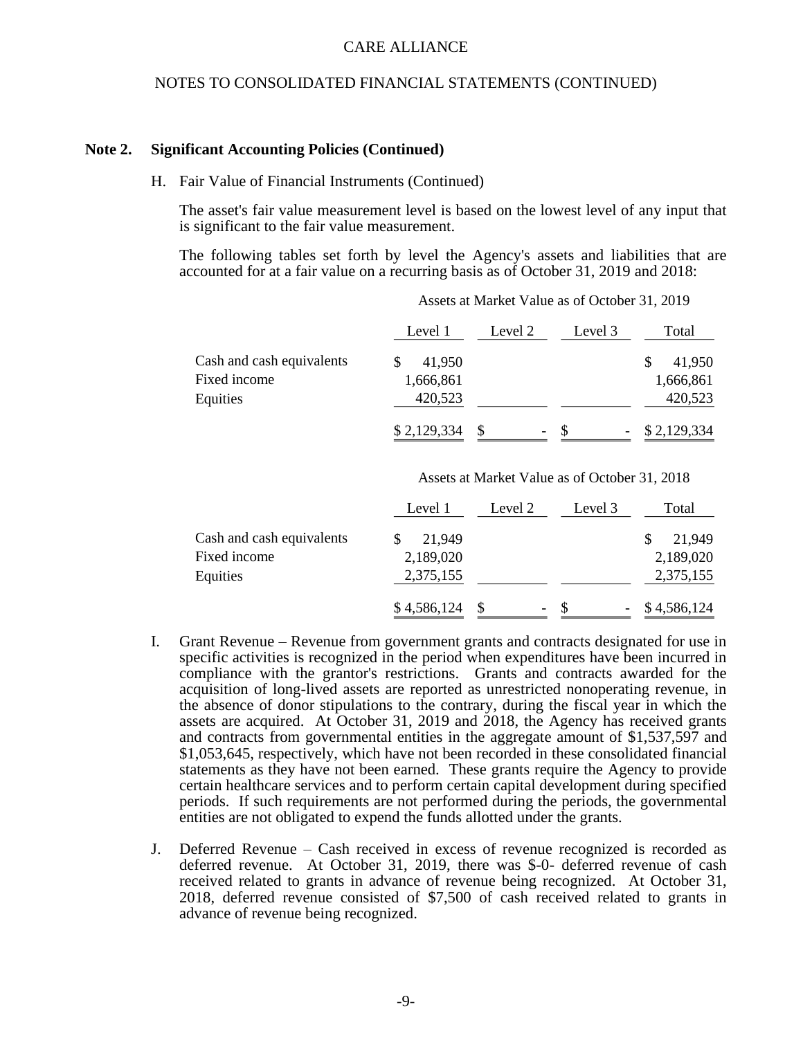### NOTES TO CONSOLIDATED FINANCIAL STATEMENTS (CONTINUED)

### **Note 2. Significant Accounting Policies (Continued)**

#### H. Fair Value of Financial Instruments (Continued)

The asset's fair value measurement level is based on the lowest level of any input that is significant to the fair value measurement.

The following tables set forth by level the Agency's assets and liabilities that are accounted for at a fair value on a recurring basis as of October 31, 2019 and 2018:

|                           | Level 1     | Level 2 | Level 3      | Total       |
|---------------------------|-------------|---------|--------------|-------------|
| Cash and cash equivalents | 41,950      |         |              | 41,950      |
| Fixed income              | 1,666,861   |         |              | 1,666,861   |
| Equities                  | 420,523     |         |              | 420,523     |
|                           | \$2,129,334 | -       | $\mathbb{S}$ | \$2,129,334 |

Assets at Market Value as of October 31, 2019

Assets at Market Value as of October 31, 2018

|                           | Level       | Level 2                  | Level 3 | Total           |
|---------------------------|-------------|--------------------------|---------|-----------------|
| Cash and cash equivalents | 21,949      |                          |         | 21.949          |
| Fixed income              | 2,189,020   |                          |         | 2,189,020       |
| Equities                  | 2,375,155   |                          |         | 2,375,155       |
|                           | \$4,586,124 | $\overline{\phantom{0}}$ |         | $-$ \$4,586,124 |

- I. Grant Revenue Revenue from government grants and contracts designated for use in specific activities is recognized in the period when expenditures have been incurred in compliance with the grantor's restrictions. Grants and contracts awarded for the acquisition of long-lived assets are reported as unrestricted nonoperating revenue, in the absence of donor stipulations to the contrary, during the fiscal year in which the assets are acquired. At October 31, 2019 and 2018, the Agency has received grants and contracts from governmental entities in the aggregate amount of \$1,537,597 and \$1,053,645, respectively, which have not been recorded in these consolidated financial statements as they have not been earned. These grants require the Agency to provide certain healthcare services and to perform certain capital development during specified periods. If such requirements are not performed during the periods, the governmental entities are not obligated to expend the funds allotted under the grants.
- J. Deferred Revenue Cash received in excess of revenue recognized is recorded as deferred revenue. At October 31, 2019, there was \$-0- deferred revenue of cash received related to grants in advance of revenue being recognized. At October 31, 2018, deferred revenue consisted of \$7,500 of cash received related to grants in advance of revenue being recognized.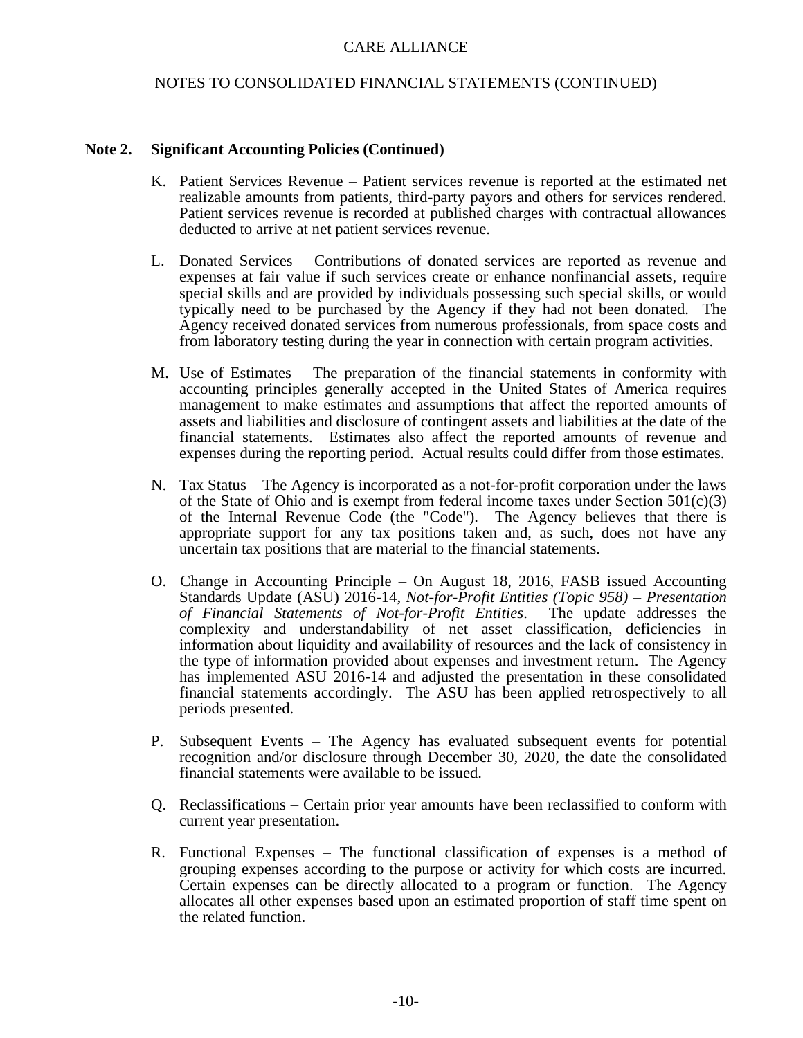### NOTES TO CONSOLIDATED FINANCIAL STATEMENTS (CONTINUED)

### **Note 2. Significant Accounting Policies (Continued)**

- K. Patient Services Revenue Patient services revenue is reported at the estimated net realizable amounts from patients, third-party payors and others for services rendered. Patient services revenue is recorded at published charges with contractual allowances deducted to arrive at net patient services revenue.
- L. Donated Services Contributions of donated services are reported as revenue and expenses at fair value if such services create or enhance nonfinancial assets, require special skills and are provided by individuals possessing such special skills, or would typically need to be purchased by the Agency if they had not been donated. The Agency received donated services from numerous professionals, from space costs and from laboratory testing during the year in connection with certain program activities.
- M. Use of Estimates The preparation of the financial statements in conformity with accounting principles generally accepted in the United States of America requires management to make estimates and assumptions that affect the reported amounts of assets and liabilities and disclosure of contingent assets and liabilities at the date of the financial statements. Estimates also affect the reported amounts of revenue and expenses during the reporting period. Actual results could differ from those estimates.
- N. Tax Status The Agency is incorporated as a not-for-profit corporation under the laws of the State of Ohio and is exempt from federal income taxes under Section  $501(c)(3)$ of the Internal Revenue Code (the "Code"). The Agency believes that there is appropriate support for any tax positions taken and, as such, does not have any uncertain tax positions that are material to the financial statements.
- O. Change in Accounting Principle On August 18, 2016, FASB issued Accounting Standards Update (ASU) 2016-14, *Not-for-Profit Entities (Topic 958) – Presentation of Financial Statements of Not-for-Profit Entities*. The update addresses the complexity and understandability of net asset classification, deficiencies in information about liquidity and availability of resources and the lack of consistency in the type of information provided about expenses and investment return. The Agency has implemented ASU 2016-14 and adjusted the presentation in these consolidated financial statements accordingly. The ASU has been applied retrospectively to all periods presented.
- P. Subsequent Events The Agency has evaluated subsequent events for potential recognition and/or disclosure through December 30, 2020, the date the consolidated financial statements were available to be issued.
- Q. Reclassifications Certain prior year amounts have been reclassified to conform with current year presentation.
- R. Functional Expenses The functional classification of expenses is a method of grouping expenses according to the purpose or activity for which costs are incurred. Certain expenses can be directly allocated to a program or function. The Agency allocates all other expenses based upon an estimated proportion of staff time spent on the related function.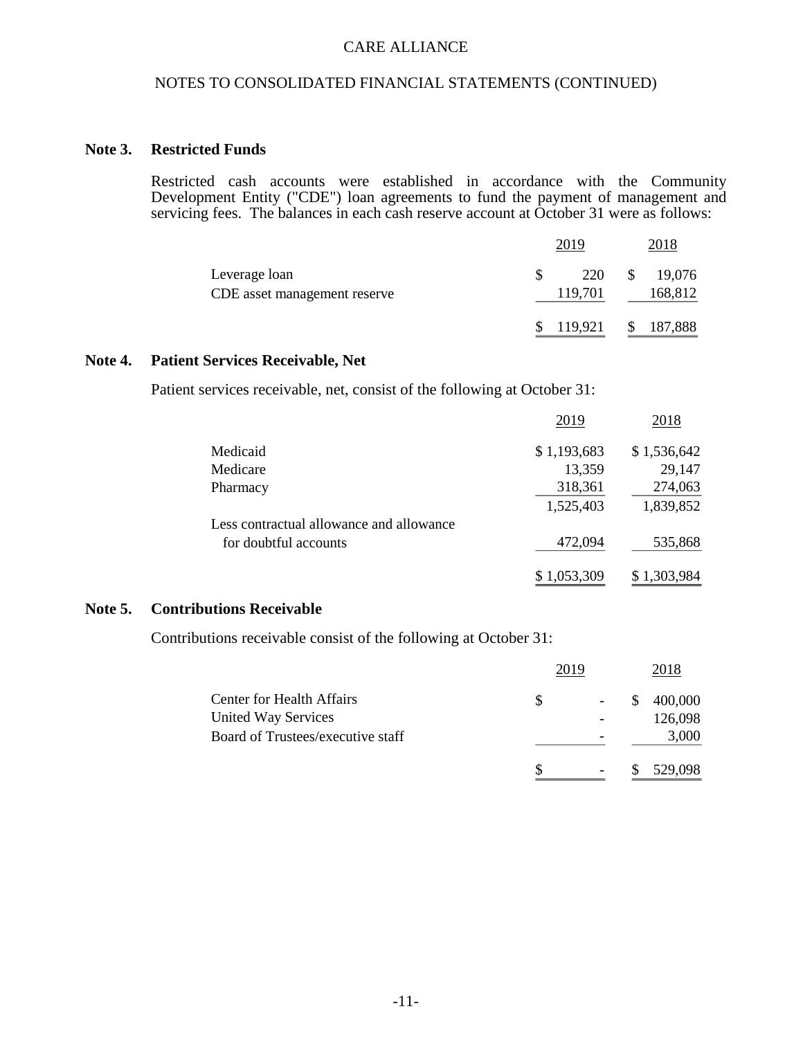# NOTES TO CONSOLIDATED FINANCIAL STATEMENTS (CONTINUED)

#### **Note 3. Restricted Funds**

Restricted cash accounts were established in accordance with the Community Development Entity ("CDE") loan agreements to fund the payment of management and servicing fees. The balances in each cash reserve account at October 31 were as follows:

|                                               | 2019           |              | 2018              |
|-----------------------------------------------|----------------|--------------|-------------------|
| Leverage loan<br>CDE asset management reserve | 220<br>119,701 | <sup>S</sup> | 19,076<br>168,812 |
|                                               | 119,921        | \$           | 187,888           |

### **Note 4. Patient Services Receivable, Net**

Patient services receivable, net, consist of the following at October 31:

|                                          | 2019        | 2018        |
|------------------------------------------|-------------|-------------|
| Medicaid                                 | \$1,193,683 | \$1,536,642 |
| Medicare                                 | 13,359      | 29,147      |
| Pharmacy                                 | 318,361     | 274,063     |
|                                          | 1,525,403   | 1,839,852   |
| Less contractual allowance and allowance |             |             |
| for doubtful accounts                    | 472,094     | 535,868     |
|                                          | \$1,053,309 | \$1,303,984 |

### **Note 5. Contributions Receivable**

Contributions receivable consist of the following at October 31:

|                                   | 2019 |        |    | 2018    |
|-----------------------------------|------|--------|----|---------|
| Center for Health Affairs         | S    | $\sim$ | \$ | 400,000 |
| <b>United Way Services</b>        |      |        |    | 126,098 |
| Board of Trustees/executive staff |      |        |    | 3,000   |
|                                   | S    | $\sim$ | S. | 529,098 |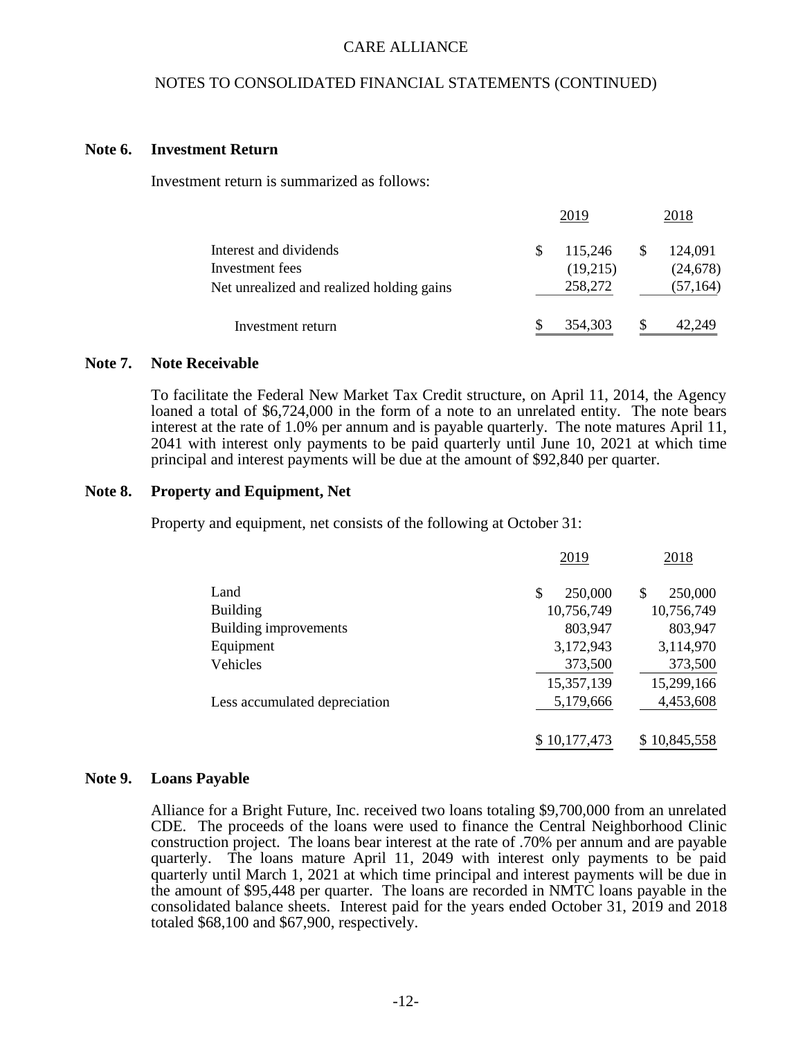### NOTES TO CONSOLIDATED FINANCIAL STATEMENTS (CONTINUED)

#### **Note 6. Investment Return**

Investment return is summarized as follows:

|                                                                                        |   | 2019                           |   | 2018                              |
|----------------------------------------------------------------------------------------|---|--------------------------------|---|-----------------------------------|
| Interest and dividends<br>Investment fees<br>Net unrealized and realized holding gains | S | 115,246<br>(19,215)<br>258,272 | S | 124,091<br>(24, 678)<br>(57, 164) |
| Investment return                                                                      |   | 354,303                        |   | 42.249                            |

#### **Note 7. Note Receivable**

To facilitate the Federal New Market Tax Credit structure, on April 11, 2014, the Agency loaned a total of \$6,724,000 in the form of a note to an unrelated entity. The note bears interest at the rate of 1.0% per annum and is payable quarterly. The note matures April 11, 2041 with interest only payments to be paid quarterly until June 10, 2021 at which time principal and interest payments will be due at the amount of \$92,840 per quarter.

#### **Note 8. Property and Equipment, Net**

Property and equipment, net consists of the following at October 31:

|                               | 2019          | 2018          |  |
|-------------------------------|---------------|---------------|--|
| Land                          | 250,000<br>\$ | 250,000<br>\$ |  |
| <b>Building</b>               | 10,756,749    | 10,756,749    |  |
| Building improvements         | 803,947       | 803,947       |  |
| Equipment                     | 3,172,943     | 3,114,970     |  |
| Vehicles                      | 373,500       | 373,500       |  |
|                               | 15,357,139    | 15,299,166    |  |
| Less accumulated depreciation | 5,179,666     | 4,453,608     |  |
|                               | \$10,177,473  | \$10,845,558  |  |

### **Note 9. Loans Payable**

Alliance for a Bright Future, Inc. received two loans totaling \$9,700,000 from an unrelated CDE. The proceeds of the loans were used to finance the Central Neighborhood Clinic construction project. The loans bear interest at the rate of .70% per annum and are payable quarterly. The loans mature April 11, 2049 with interest only payments to be paid quarterly until March 1, 2021 at which time principal and interest payments will be due in the amount of \$95,448 per quarter. The loans are recorded in NMTC loans payable in the consolidated balance sheets. Interest paid for the years ended October 31, 2019 and 2018 totaled \$68,100 and \$67,900, respectively.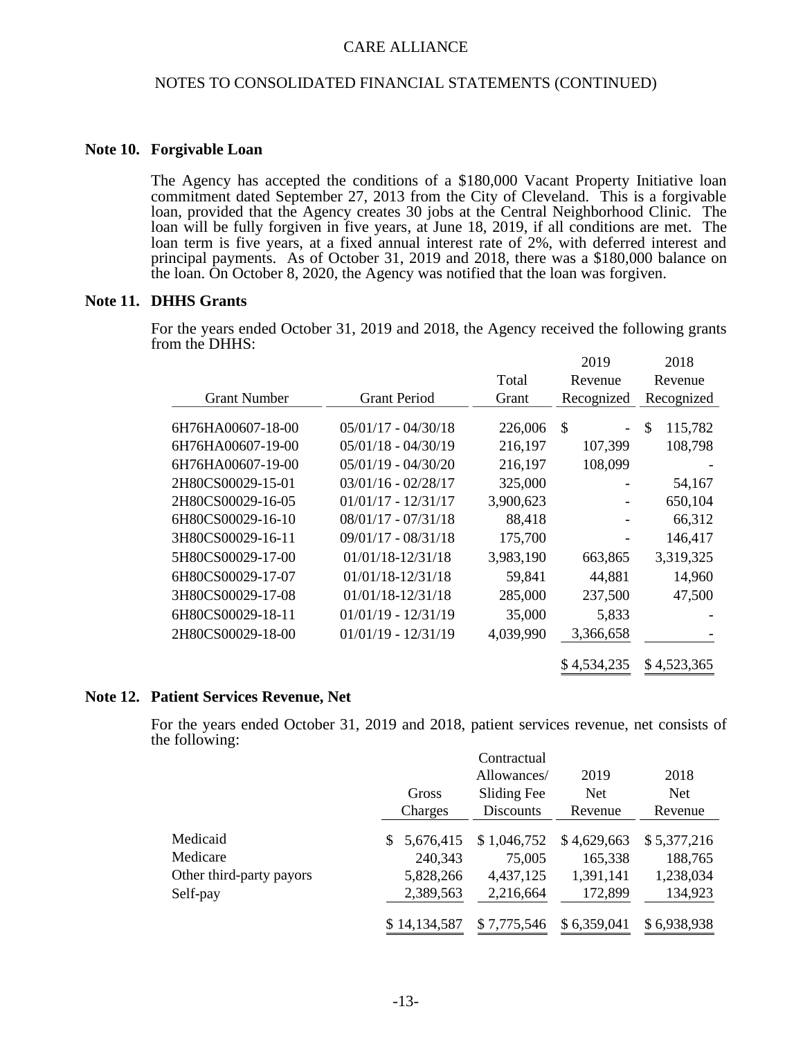### NOTES TO CONSOLIDATED FINANCIAL STATEMENTS (CONTINUED)

#### **Note 10. Forgivable Loan**

The Agency has accepted the conditions of a \$180,000 Vacant Property Initiative loan commitment dated September 27, 2013 from the City of Cleveland. This is a forgivable loan, provided that the Agency creates 30 jobs at the Central Neighborhood Clinic. The loan will be fully forgiven in five years, at June 18, 2019, if all conditions are met. The loan term is five years, at a fixed annual interest rate of 2%, with deferred interest and principal payments. As of October 31, 2019 and 2018, there was a \$180,000 balance on the loan. On October 8, 2020, the Agency was notified that the loan was forgiven.

#### **Note 11. DHHS Grants**

For the years ended October 31, 2019 and 2018, the Agency received the following grants from the DHHS:

2010 2010

|                     |                       |           | 2012        | 2010          |
|---------------------|-----------------------|-----------|-------------|---------------|
|                     |                       | Total     | Revenue     | Revenue       |
| <b>Grant Number</b> | <b>Grant Period</b>   | Grant     | Recognized  | Recognized    |
| 6H76HA00607-18-00   | $05/01/17 - 04/30/18$ |           |             | 115,782<br>\$ |
|                     |                       | 226,006   | \$          |               |
| 6H76HA00607-19-00   | $05/01/18 - 04/30/19$ | 216,197   | 107,399     | 108,798       |
| 6H76HA00607-19-00   | $05/01/19 - 04/30/20$ | 216,197   | 108,099     |               |
| 2H80CS00029-15-01   | $03/01/16 - 02/28/17$ | 325,000   |             | 54,167        |
| 2H80CS00029-16-05   | $01/01/17 - 12/31/17$ | 3,900,623 |             | 650,104       |
| 6H80CS00029-16-10   | $08/01/17 - 07/31/18$ | 88,418    |             | 66,312        |
| 3H80CS00029-16-11   | $09/01/17 - 08/31/18$ | 175,700   |             | 146,417       |
| 5H80CS00029-17-00   | $01/01/18 - 12/31/18$ | 3,983,190 | 663,865     | 3,319,325     |
| 6H80CS00029-17-07   | 01/01/18-12/31/18     | 59,841    | 44,881      | 14,960        |
| 3H80CS00029-17-08   | 01/01/18-12/31/18     | 285,000   | 237,500     | 47,500        |
| 6H80CS00029-18-11   | $01/01/19 - 12/31/19$ | 35,000    | 5,833       |               |
| 2H80CS00029-18-00   | $01/01/19 - 12/31/19$ | 4,039,990 | 3,366,658   |               |
|                     |                       |           | \$4,534,235 | \$4,523,365   |
|                     |                       |           |             |               |

#### **Note 12. Patient Services Revenue, Net**

For the years ended October 31, 2019 and 2018, patient services revenue, net consists of the following:

|                          |                 | Contractual      |             |             |
|--------------------------|-----------------|------------------|-------------|-------------|
|                          |                 | Allowances/      | 2019        | 2018        |
|                          | Gross           | Sliding Fee      | <b>Net</b>  | <b>Net</b>  |
|                          | Charges         | <b>Discounts</b> | Revenue     | Revenue     |
| Medicaid                 | 5,676,415<br>S. | \$1,046,752      | \$4,629,663 | \$5,377,216 |
| Medicare                 | 240,343         | 75,005           | 165,338     | 188,765     |
| Other third-party payors | 5,828,266       | 4,437,125        | 1,391,141   | 1,238,034   |
| Self-pay                 | 2,389,563       | 2,216,664        | 172,899     | 134,923     |
|                          | \$14,134,587    | \$7,775,546      | \$6,359,041 | \$6,938,938 |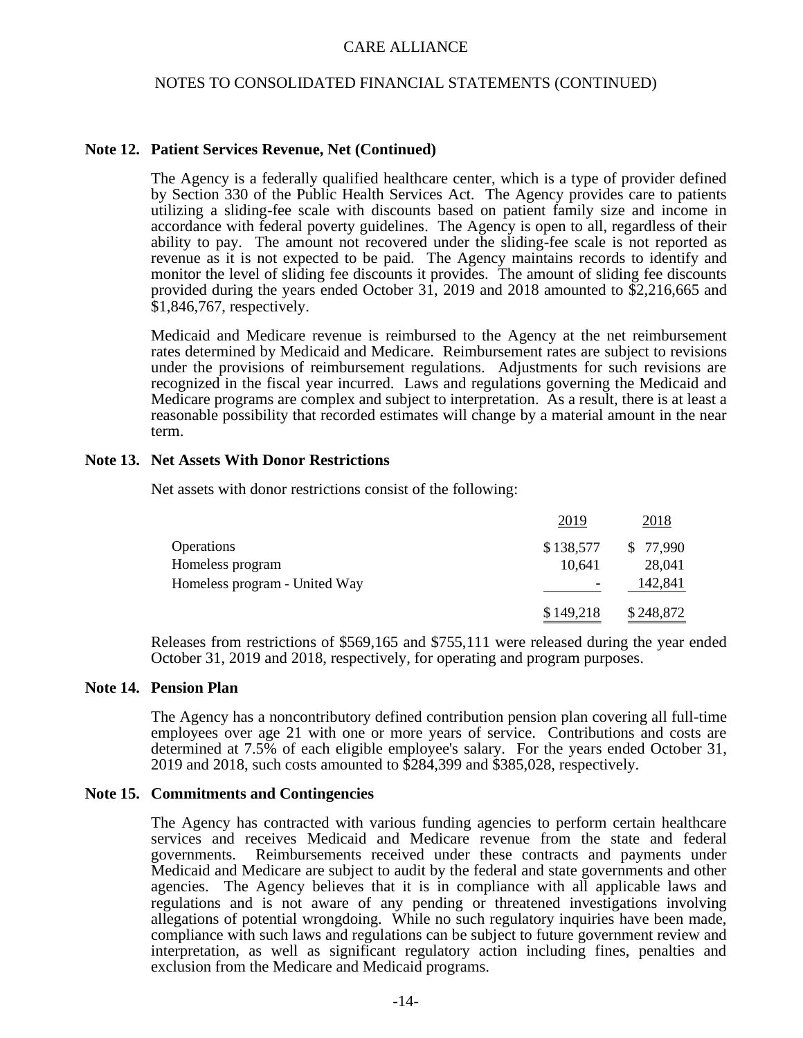#### NOTES TO CONSOLIDATED FINANCIAL STATEMENTS (CONTINUED)

#### **Note 12. Patient Services Revenue, Net (Continued)**

The Agency is a federally qualified healthcare center, which is a type of provider defined by Section 330 of the Public Health Services Act. The Agency provides care to patients utilizing a sliding-fee scale with discounts based on patient family size and income in accordance with federal poverty guidelines. The Agency is open to all, regardless of their ability to pay. The amount not recovered under the sliding-fee scale is not reported as revenue as it is not expected to be paid. The Agency maintains records to identify and monitor the level of sliding fee discounts it provides. The amount of sliding fee discounts provided during the years ended October 31, 2019 and 2018 amounted to \$2,216,665 and \$1,846,767, respectively.

Medicaid and Medicare revenue is reimbursed to the Agency at the net reimbursement rates determined by Medicaid and Medicare. Reimbursement rates are subject to revisions under the provisions of reimbursement regulations. Adjustments for such revisions are recognized in the fiscal year incurred. Laws and regulations governing the Medicaid and Medicare programs are complex and subject to interpretation. As a result, there is at least a reasonable possibility that recorded estimates will change by a material amount in the near term.

#### **Note 13. Net Assets With Donor Restrictions**

Net assets with donor restrictions consist of the following:

|                               | 2019      | 2018      |
|-------------------------------|-----------|-----------|
| <b>Operations</b>             | \$138,577 | \$ 77,990 |
| Homeless program              | 10.641    | 28.041    |
| Homeless program - United Way |           | 142,841   |
|                               | \$149,218 | \$248,872 |

Releases from restrictions of \$569,165 and \$755,111 were released during the year ended October 31, 2019 and 2018, respectively, for operating and program purposes.

### **Note 14. Pension Plan**

The Agency has a noncontributory defined contribution pension plan covering all full-time employees over age 21 with one or more years of service. Contributions and costs are determined at 7.5% of each eligible employee's salary. For the years ended October 31, 2019 and 2018, such costs amounted to \$284,399 and \$385,028, respectively.

#### **Note 15. Commitments and Contingencies**

The Agency has contracted with various funding agencies to perform certain healthcare services and receives Medicaid and Medicare revenue from the state and federal governments. Reimbursements received under these contracts and payments under Medicaid and Medicare are subject to audit by the federal and state governments and other agencies. The Agency believes that it is in compliance with all applicable laws and regulations and is not aware of any pending or threatened investigations involving allegations of potential wrongdoing. While no such regulatory inquiries have been made, compliance with such laws and regulations can be subject to future government review and interpretation, as well as significant regulatory action including fines, penalties and exclusion from the Medicare and Medicaid programs.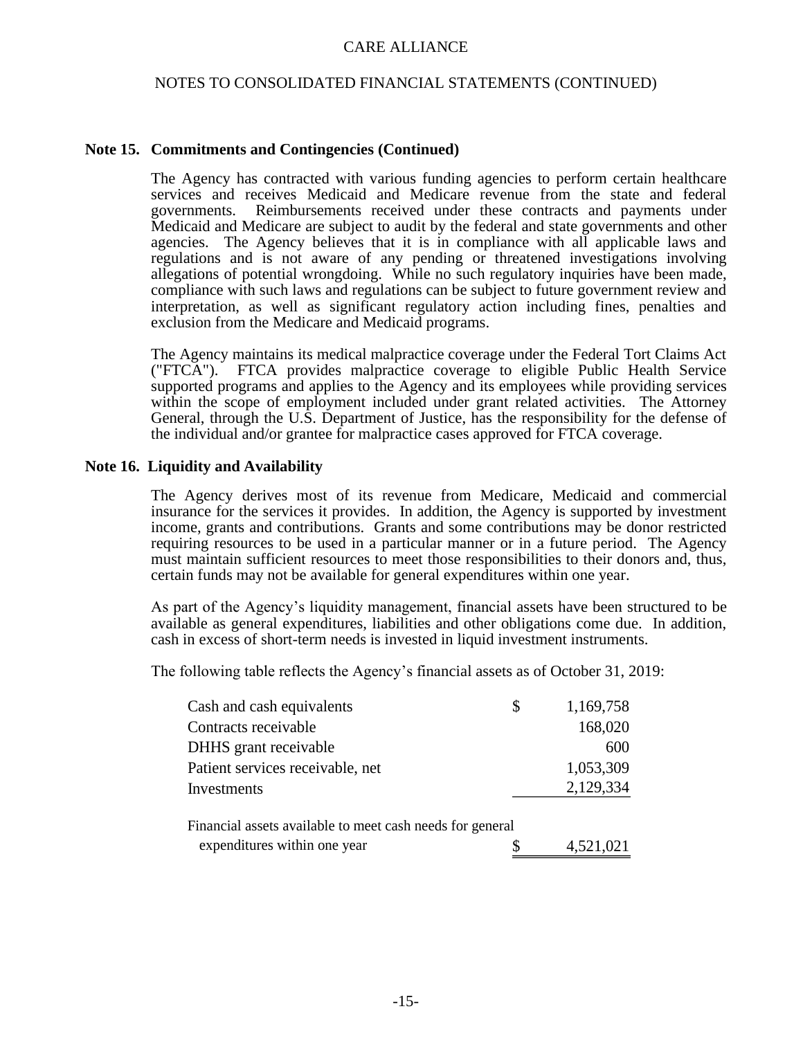### NOTES TO CONSOLIDATED FINANCIAL STATEMENTS (CONTINUED)

### **Note 15. Commitments and Contingencies (Continued)**

The Agency has contracted with various funding agencies to perform certain healthcare services and receives Medicaid and Medicare revenue from the state and federal governments. Reimbursements received under these contracts and payments under Medicaid and Medicare are subject to audit by the federal and state governments and other agencies. The Agency believes that it is in compliance with all applicable laws and regulations and is not aware of any pending or threatened investigations involving allegations of potential wrongdoing. While no such regulatory inquiries have been made, compliance with such laws and regulations can be subject to future government review and interpretation, as well as significant regulatory action including fines, penalties and exclusion from the Medicare and Medicaid programs.

The Agency maintains its medical malpractice coverage under the Federal Tort Claims Act ("FTCA"). FTCA provides malpractice coverage to eligible Public Health Service supported programs and applies to the Agency and its employees while providing services within the scope of employment included under grant related activities. The Attorney General, through the U.S. Department of Justice, has the responsibility for the defense of the individual and/or grantee for malpractice cases approved for FTCA coverage.

### **Note 16. Liquidity and Availability**

The Agency derives most of its revenue from Medicare, Medicaid and commercial insurance for the services it provides. In addition, the Agency is supported by investment income, grants and contributions. Grants and some contributions may be donor restricted requiring resources to be used in a particular manner or in a future period. The Agency must maintain sufficient resources to meet those responsibilities to their donors and, thus, certain funds may not be available for general expenditures within one year.

As part of the Agency's liquidity management, financial assets have been structured to be available as general expenditures, liabilities and other obligations come due. In addition, cash in excess of short-term needs is invested in liquid investment instruments.

The following table reflects the Agency's financial assets as of October 31, 2019:

| Cash and cash equivalents                                 | \$ | 1,169,758 |  |  |
|-----------------------------------------------------------|----|-----------|--|--|
| Contracts receivable                                      |    | 168,020   |  |  |
| DHHS grant receivable                                     |    | 600       |  |  |
| Patient services receivable, net                          |    | 1,053,309 |  |  |
| Investments                                               |    | 2,129,334 |  |  |
| Financial assets available to meet cash needs for general |    |           |  |  |
| expenditures within one year                              |    | 4,521,021 |  |  |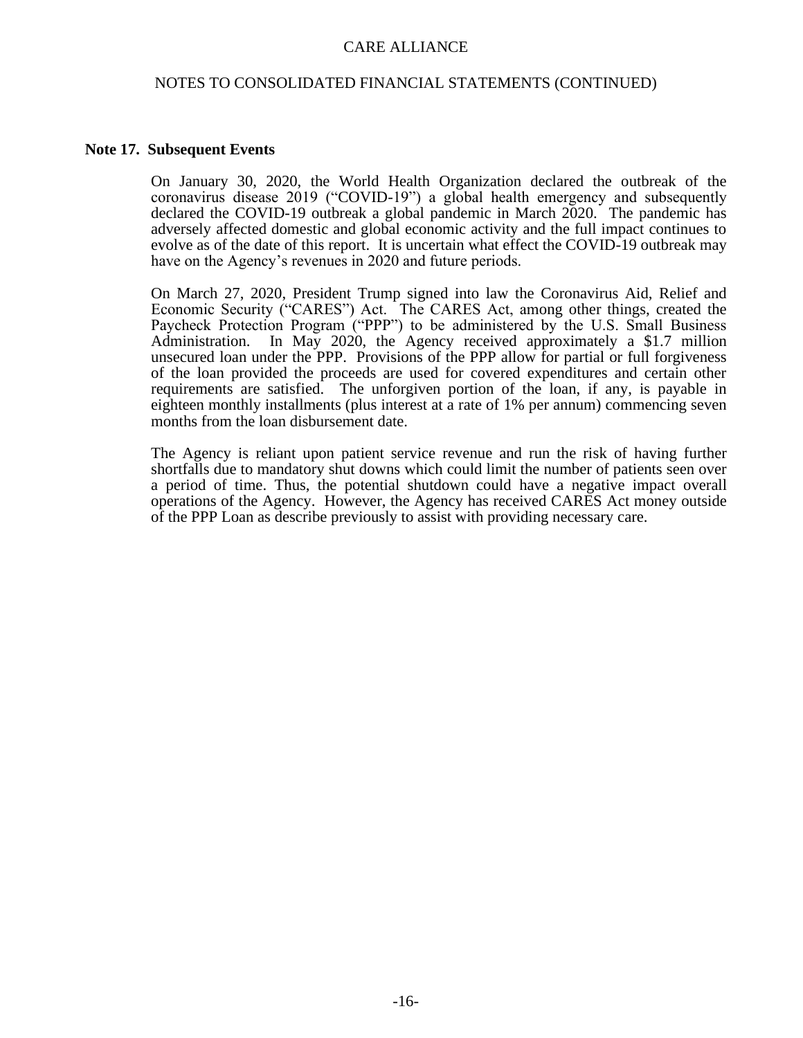#### NOTES TO CONSOLIDATED FINANCIAL STATEMENTS (CONTINUED)

#### **Note 17. Subsequent Events**

On January 30, 2020, the World Health Organization declared the outbreak of the coronavirus disease 2019 ("COVID-19") a global health emergency and subsequently declared the COVID-19 outbreak a global pandemic in March 2020. The pandemic has adversely affected domestic and global economic activity and the full impact continues to evolve as of the date of this report. It is uncertain what effect the COVID-19 outbreak may have on the Agency's revenues in 2020 and future periods.

On March 27, 2020, President Trump signed into law the Coronavirus Aid, Relief and Economic Security ("CARES") Act. The CARES Act, among other things, created the Paycheck Protection Program ("PPP") to be administered by the U.S. Small Business Administration. In May 2020, the Agency received approximately a \$1.7 million unsecured loan under the PPP. Provisions of the PPP allow for partial or full forgiveness of the loan provided the proceeds are used for covered expenditures and certain other requirements are satisfied. The unforgiven portion of the loan, if any, is payable in eighteen monthly installments (plus interest at a rate of 1% per annum) commencing seven months from the loan disbursement date.

The Agency is reliant upon patient service revenue and run the risk of having further shortfalls due to mandatory shut downs which could limit the number of patients seen over a period of time. Thus, the potential shutdown could have a negative impact overall operations of the Agency. However, the Agency has received CARES Act money outside of the PPP Loan as describe previously to assist with providing necessary care.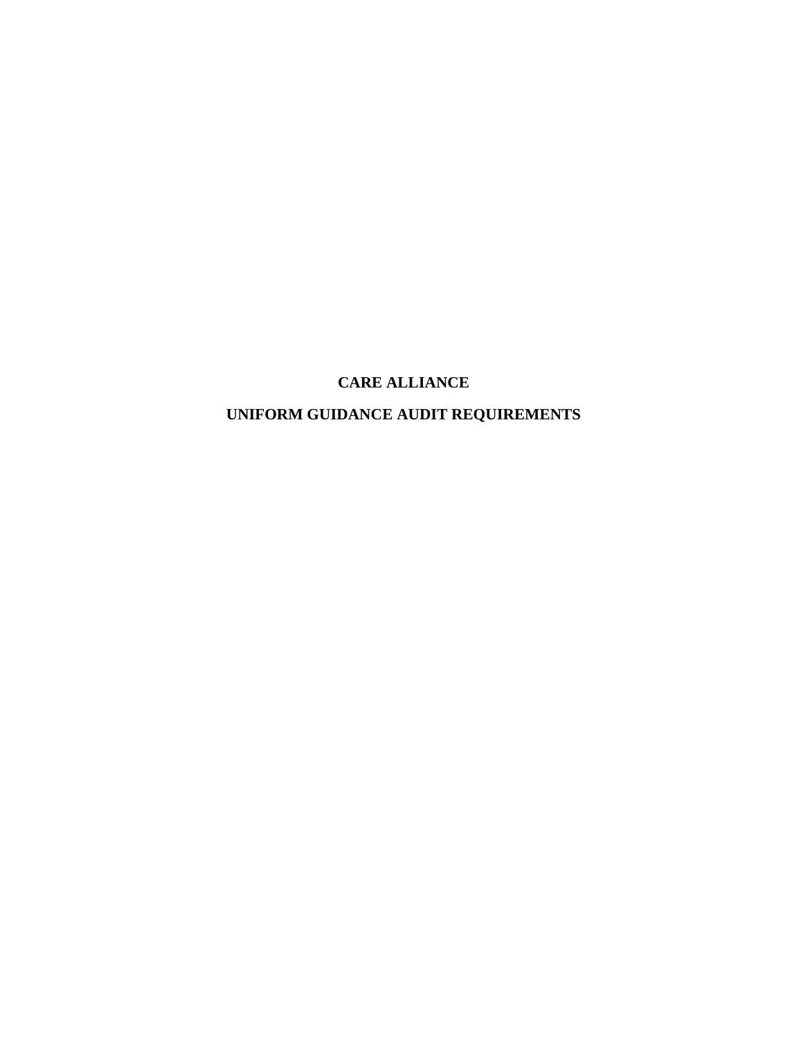# **UNIFORM GUIDANCE AUDIT REQUIREMENTS**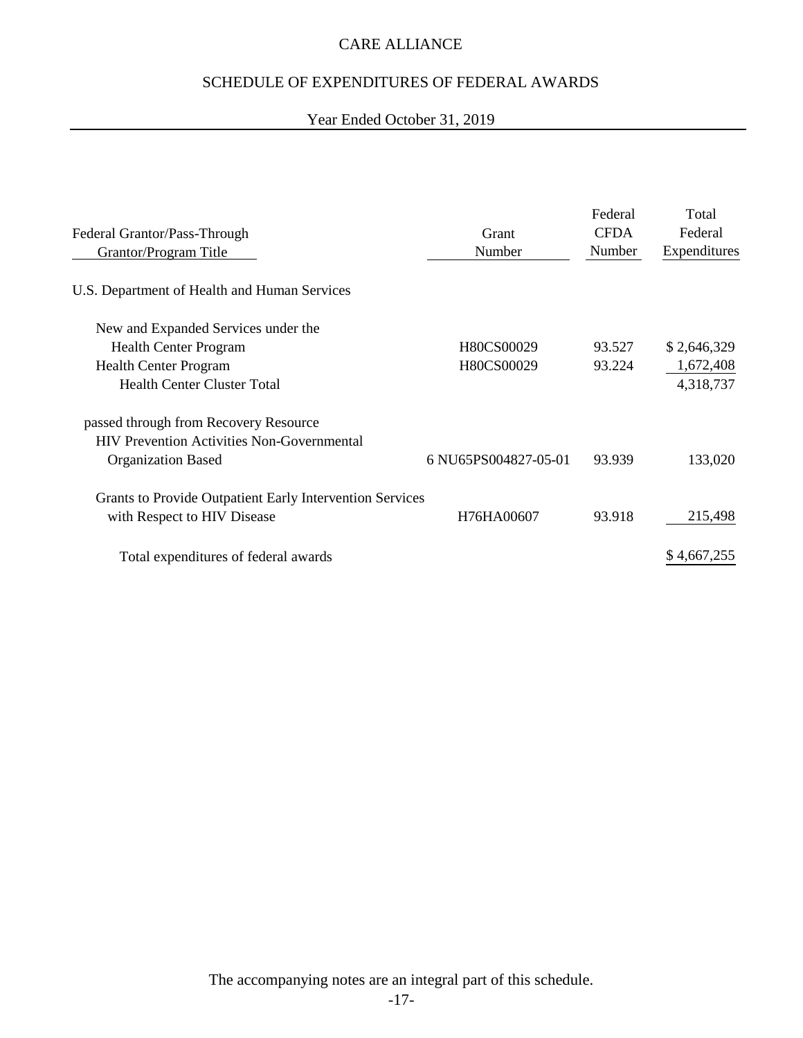# SCHEDULE OF EXPENDITURES OF FEDERAL AWARDS

# Year Ended October 31, 2019

|                                                          |                      | Federal     | Total        |
|----------------------------------------------------------|----------------------|-------------|--------------|
| Federal Grantor/Pass-Through                             | Grant                | <b>CFDA</b> | Federal      |
| <b>Grantor/Program Title</b>                             | Number               | Number      | Expenditures |
| U.S. Department of Health and Human Services             |                      |             |              |
| New and Expanded Services under the                      |                      |             |              |
| <b>Health Center Program</b>                             | H80CS00029           | 93.527      | \$2,646,329  |
| <b>Health Center Program</b>                             | H80CS00029           | 93.224      | 1,672,408    |
| <b>Health Center Cluster Total</b>                       |                      |             | 4,318,737    |
| passed through from Recovery Resource                    |                      |             |              |
| <b>HIV Prevention Activities Non-Governmental</b>        |                      |             |              |
| <b>Organization Based</b>                                | 6 NU65PS004827-05-01 | 93.939      | 133,020      |
| Grants to Provide Outpatient Early Intervention Services |                      |             |              |
| with Respect to HIV Disease                              | H76HA00607           | 93.918      | 215,498      |
| Total expenditures of federal awards                     |                      |             | \$4,667,255  |
|                                                          |                      |             |              |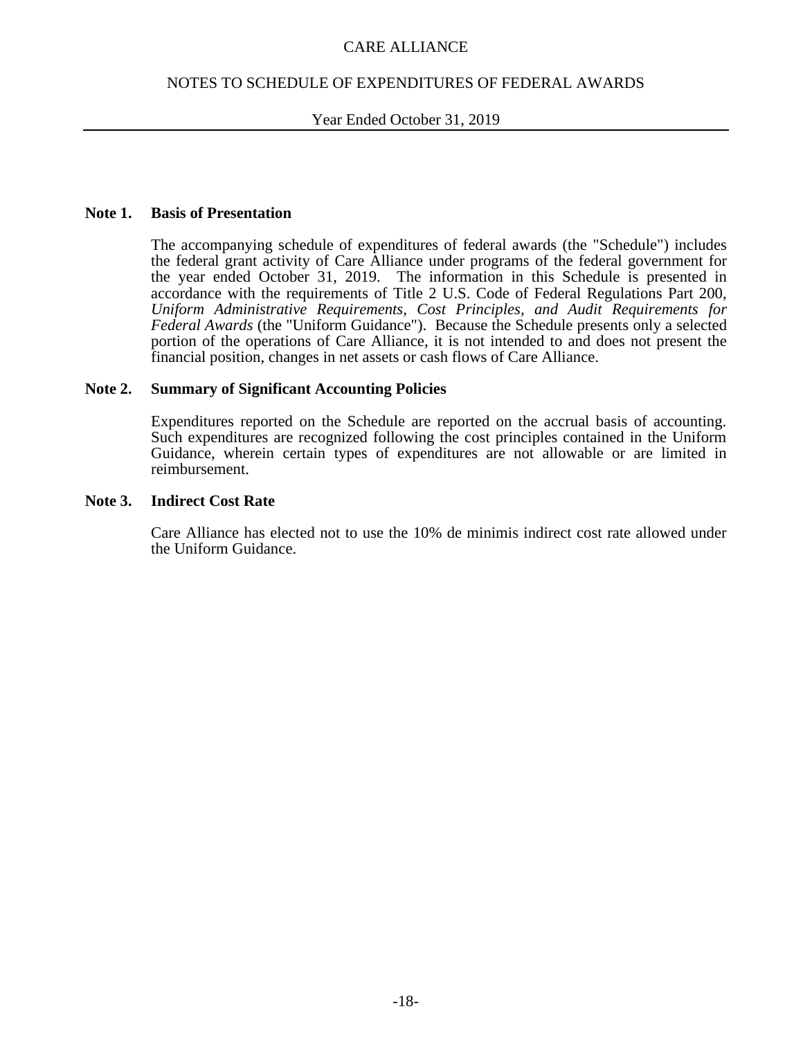### NOTES TO SCHEDULE OF EXPENDITURES OF FEDERAL AWARDS

## Year Ended October 31, 2019

#### **Note 1. Basis of Presentation**

The accompanying schedule of expenditures of federal awards (the "Schedule") includes the federal grant activity of Care Alliance under programs of the federal government for the year ended October 31, 2019. The information in this Schedule is presented in accordance with the requirements of Title 2 U.S. Code of Federal Regulations Part 200, *Uniform Administrative Requirements, Cost Principles, and Audit Requirements for Federal Awards* (the "Uniform Guidance"). Because the Schedule presents only a selected portion of the operations of Care Alliance, it is not intended to and does not present the financial position, changes in net assets or cash flows of Care Alliance.

### **Note 2. Summary of Significant Accounting Policies**

Expenditures reported on the Schedule are reported on the accrual basis of accounting. Such expenditures are recognized following the cost principles contained in the Uniform Guidance, wherein certain types of expenditures are not allowable or are limited in reimbursement.

#### **Note 3. Indirect Cost Rate**

Care Alliance has elected not to use the 10% de minimis indirect cost rate allowed under the Uniform Guidance.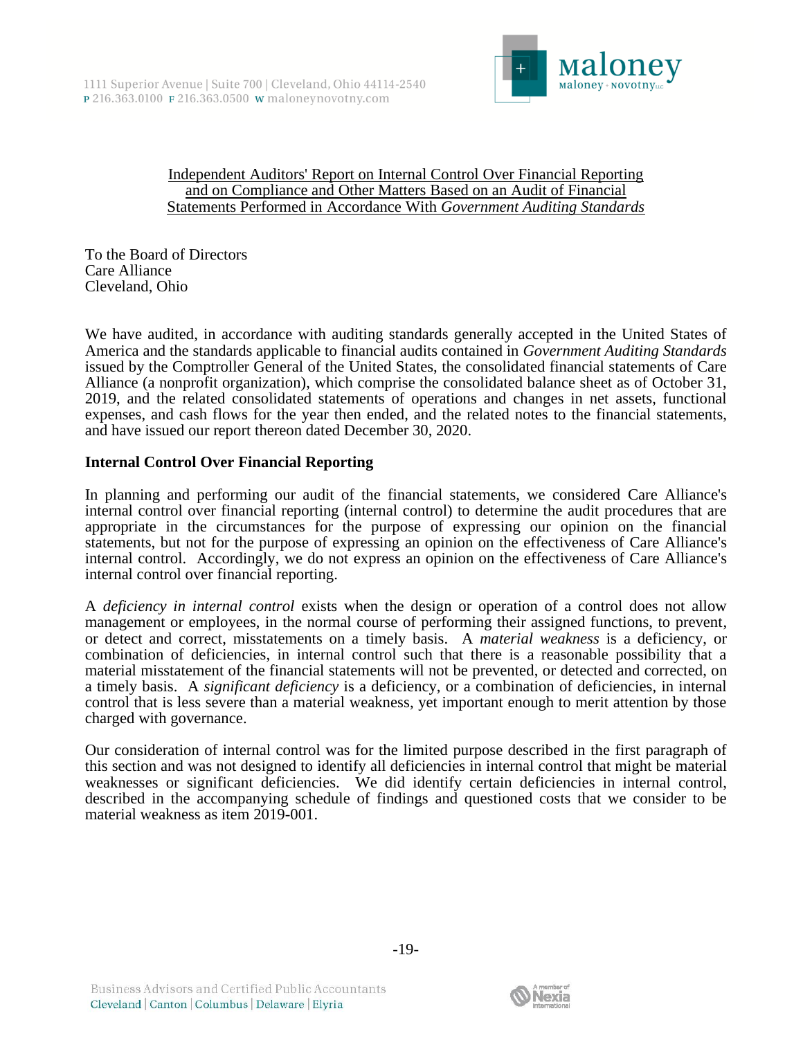

### Independent Auditors' Report on Internal Control Over Financial Reporting and on Compliance and Other Matters Based on an Audit of Financial Statements Performed in Accordance With *Government Auditing Standards*

To the Board of Directors Care Alliance Cleveland, Ohio

We have audited, in accordance with auditing standards generally accepted in the United States of America and the standards applicable to financial audits contained in *Government Auditing Standards* issued by the Comptroller General of the United States, the consolidated financial statements of Care Alliance (a nonprofit organization), which comprise the consolidated balance sheet as of October 31, 2019, and the related consolidated statements of operations and changes in net assets, functional expenses, and cash flows for the year then ended, and the related notes to the financial statements, and have issued our report thereon dated December 30, 2020.

# **Internal Control Over Financial Reporting**

In planning and performing our audit of the financial statements, we considered Care Alliance's internal control over financial reporting (internal control) to determine the audit procedures that are appropriate in the circumstances for the purpose of expressing our opinion on the financial statements, but not for the purpose of expressing an opinion on the effectiveness of Care Alliance's internal control. Accordingly, we do not express an opinion on the effectiveness of Care Alliance's internal control over financial reporting.

A *deficiency in internal control* exists when the design or operation of a control does not allow management or employees, in the normal course of performing their assigned functions, to prevent, or detect and correct, misstatements on a timely basis. A *material weakness* is a deficiency, or combination of deficiencies, in internal control such that there is a reasonable possibility that a material misstatement of the financial statements will not be prevented, or detected and corrected, on a timely basis. A *significant deficiency* is a deficiency, or a combination of deficiencies, in internal control that is less severe than a material weakness, yet important enough to merit attention by those charged with governance.

Our consideration of internal control was for the limited purpose described in the first paragraph of this section and was not designed to identify all deficiencies in internal control that might be material weaknesses or significant deficiencies. We did identify certain deficiencies in internal control, described in the accompanying schedule of findings and questioned costs that we consider to be material weakness as item 2019-001.

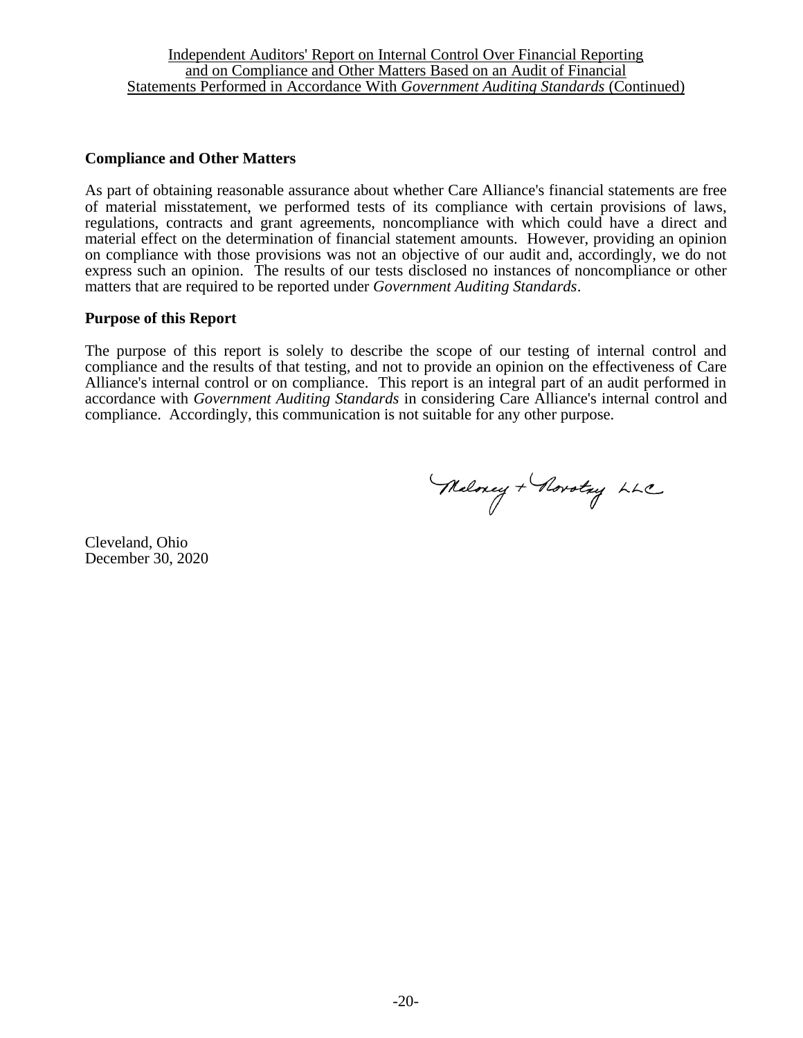# **Compliance and Other Matters**

As part of obtaining reasonable assurance about whether Care Alliance's financial statements are free of material misstatement, we performed tests of its compliance with certain provisions of laws, regulations, contracts and grant agreements, noncompliance with which could have a direct and material effect on the determination of financial statement amounts. However, providing an opinion on compliance with those provisions was not an objective of our audit and, accordingly, we do not express such an opinion. The results of our tests disclosed no instances of noncompliance or other matters that are required to be reported under *Government Auditing Standards*.

## **Purpose of this Report**

The purpose of this report is solely to describe the scope of our testing of internal control and compliance and the results of that testing, and not to provide an opinion on the effectiveness of Care Alliance's internal control or on compliance. This report is an integral part of an audit performed in accordance with *Government Auditing Standards* in considering Care Alliance's internal control and compliance. Accordingly, this communication is not suitable for any other purpose.

Neloney + Rovotry LLC

Cleveland, Ohio December 30, 2020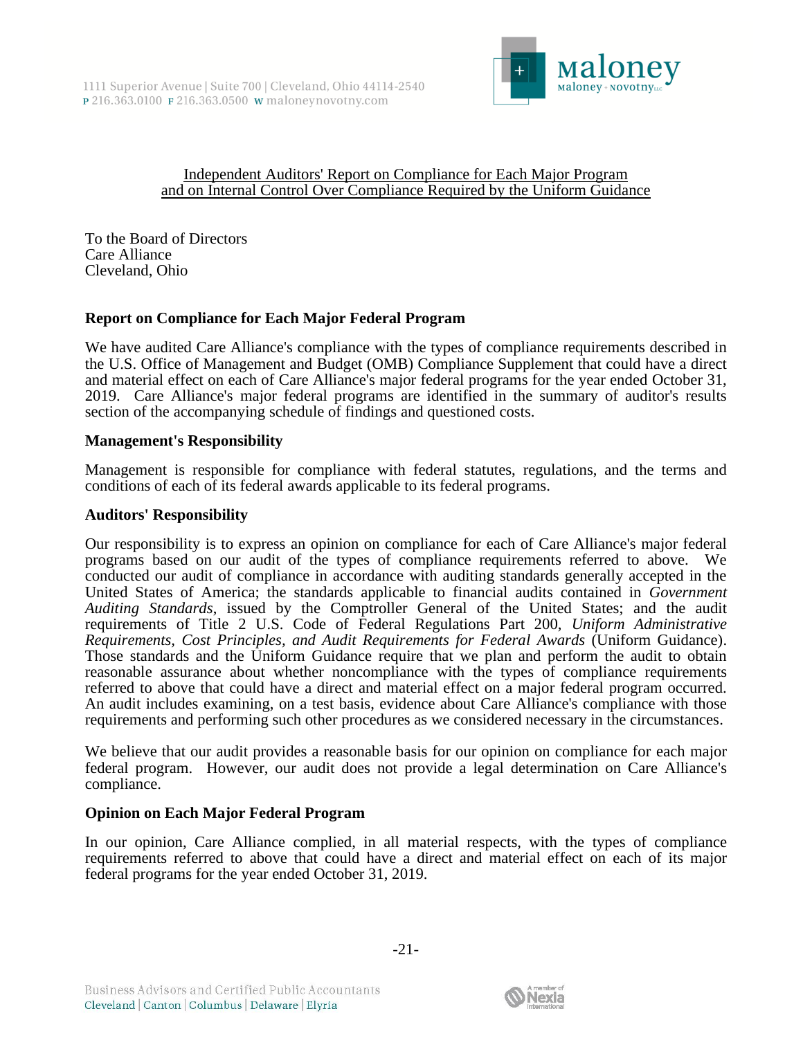

## Independent Auditors' Report on Compliance for Each Major Program and on Internal Control Over Compliance Required by the Uniform Guidance

To the Board of Directors Care Alliance Cleveland, Ohio

# **Report on Compliance for Each Major Federal Program**

We have audited Care Alliance's compliance with the types of compliance requirements described in the U.S. Office of Management and Budget (OMB) Compliance Supplement that could have a direct and material effect on each of Care Alliance's major federal programs for the year ended October 31, 2019. Care Alliance's major federal programs are identified in the summary of auditor's results section of the accompanying schedule of findings and questioned costs.

## **Management's Responsibility**

Management is responsible for compliance with federal statutes, regulations, and the terms and conditions of each of its federal awards applicable to its federal programs.

## **Auditors' Responsibility**

Our responsibility is to express an opinion on compliance for each of Care Alliance's major federal programs based on our audit of the types of compliance requirements referred to above. We conducted our audit of compliance in accordance with auditing standards generally accepted in the United States of America; the standards applicable to financial audits contained in *Government Auditing Standards*, issued by the Comptroller General of the United States; and the audit requirements of Title 2 U.S. Code of Federal Regulations Part 200, *Uniform Administrative Requirements, Cost Principles, and Audit Requirements for Federal Awards* (Uniform Guidance). Those standards and the Uniform Guidance require that we plan and perform the audit to obtain reasonable assurance about whether noncompliance with the types of compliance requirements referred to above that could have a direct and material effect on a major federal program occurred. An audit includes examining, on a test basis, evidence about Care Alliance's compliance with those requirements and performing such other procedures as we considered necessary in the circumstances.

We believe that our audit provides a reasonable basis for our opinion on compliance for each major federal program. However, our audit does not provide a legal determination on Care Alliance's compliance.

## **Opinion on Each Major Federal Program**

In our opinion, Care Alliance complied, in all material respects, with the types of compliance requirements referred to above that could have a direct and material effect on each of its major federal programs for the year ended October 31, 2019.

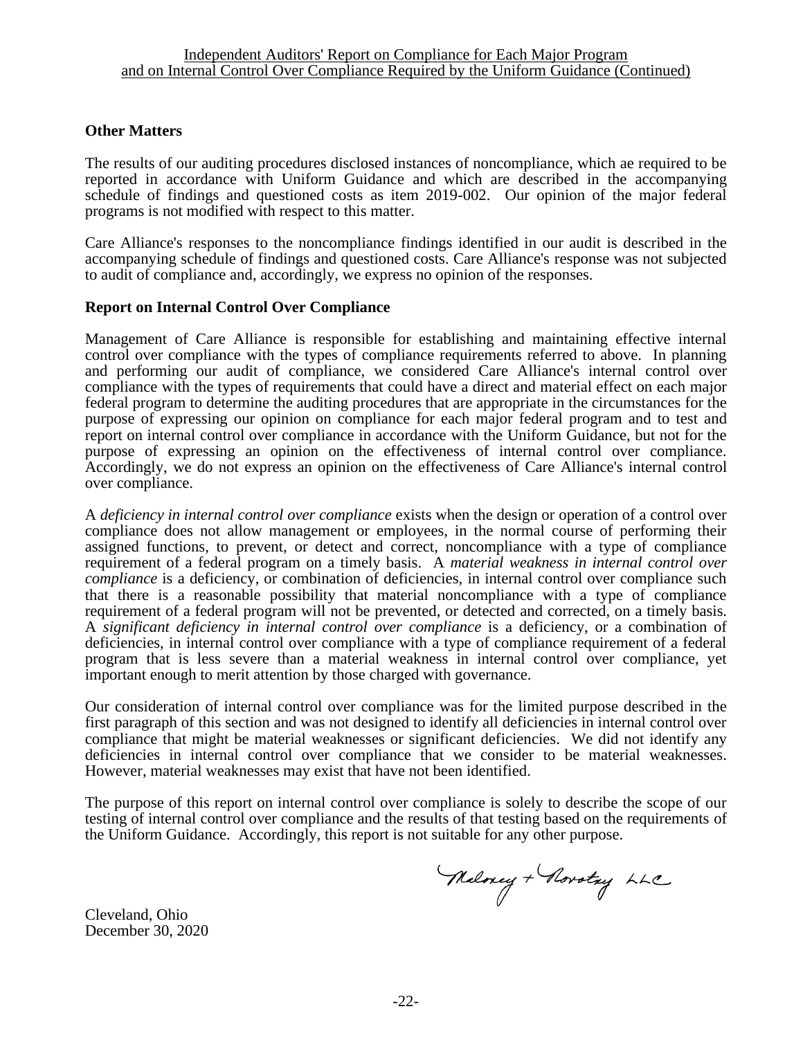# **Other Matters**

The results of our auditing procedures disclosed instances of noncompliance, which ae required to be reported in accordance with Uniform Guidance and which are described in the accompanying schedule of findings and questioned costs as item 2019-002. Our opinion of the major federal programs is not modified with respect to this matter.

Care Alliance's responses to the noncompliance findings identified in our audit is described in the accompanying schedule of findings and questioned costs. Care Alliance's response was not subjected to audit of compliance and, accordingly, we express no opinion of the responses.

## **Report on Internal Control Over Compliance**

Management of Care Alliance is responsible for establishing and maintaining effective internal control over compliance with the types of compliance requirements referred to above. In planning and performing our audit of compliance, we considered Care Alliance's internal control over compliance with the types of requirements that could have a direct and material effect on each major federal program to determine the auditing procedures that are appropriate in the circumstances for the purpose of expressing our opinion on compliance for each major federal program and to test and report on internal control over compliance in accordance with the Uniform Guidance, but not for the purpose of expressing an opinion on the effectiveness of internal control over compliance. Accordingly, we do not express an opinion on the effectiveness of Care Alliance's internal control over compliance.

A *deficiency in internal control over compliance* exists when the design or operation of a control over compliance does not allow management or employees, in the normal course of performing their assigned functions, to prevent, or detect and correct, noncompliance with a type of compliance requirement of a federal program on a timely basis. A *material weakness in internal control over compliance* is a deficiency, or combination of deficiencies, in internal control over compliance such that there is a reasonable possibility that material noncompliance with a type of compliance requirement of a federal program will not be prevented, or detected and corrected, on a timely basis. A *significant deficiency in internal control over compliance* is a deficiency, or a combination of deficiencies, in internal control over compliance with a type of compliance requirement of a federal program that is less severe than a material weakness in internal control over compliance, yet important enough to merit attention by those charged with governance.

Our consideration of internal control over compliance was for the limited purpose described in the first paragraph of this section and was not designed to identify all deficiencies in internal control over compliance that might be material weaknesses or significant deficiencies. We did not identify any deficiencies in internal control over compliance that we consider to be material weaknesses. However, material weaknesses may exist that have not been identified.

The purpose of this report on internal control over compliance is solely to describe the scope of our testing of internal control over compliance and the results of that testing based on the requirements of the Uniform Guidance. Accordingly, this report is not suitable for any other purpose.

Neloney + Novotry LLC

Cleveland, Ohio December 30, 2020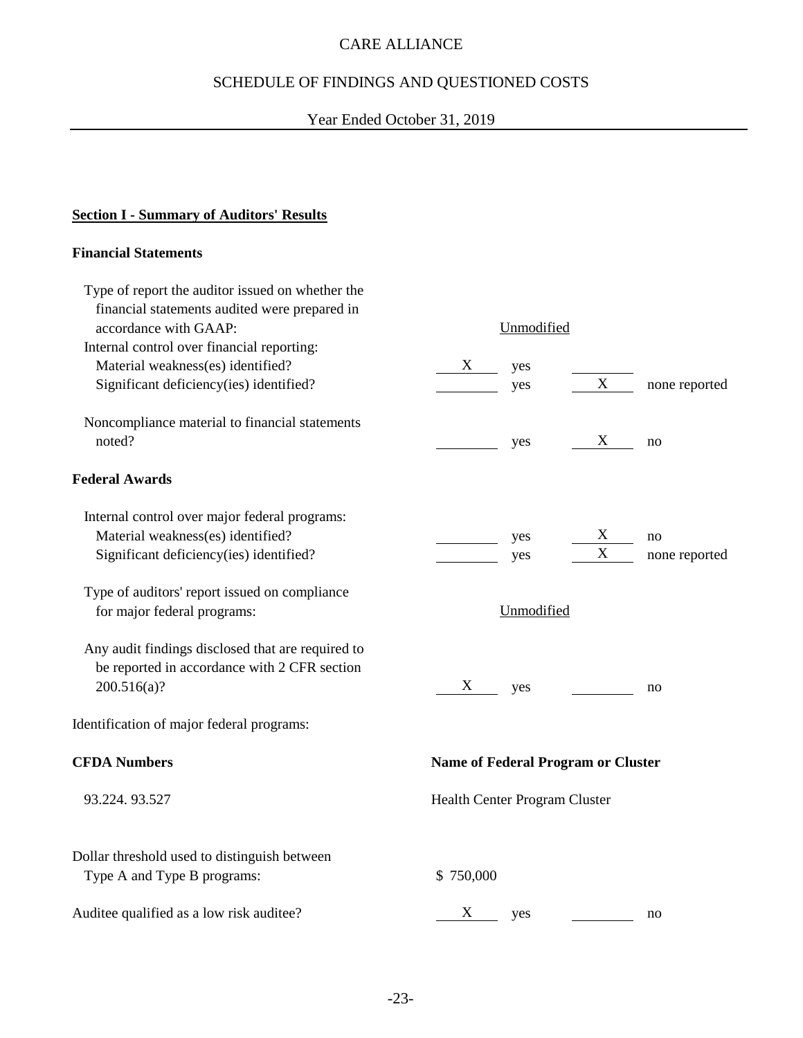# SCHEDULE OF FINDINGS AND QUESTIONED COSTS

# Year Ended October 31, 2019

# **Section I - Summary of Auditors' Results**

# **Financial Statements**

| Type of report the auditor issued on whether the  |                                           |         |               |
|---------------------------------------------------|-------------------------------------------|---------|---------------|
| financial statements audited were prepared in     |                                           |         |               |
| accordance with GAAP:                             | Unmodified                                |         |               |
| Internal control over financial reporting:        |                                           |         |               |
| Material weakness(es) identified?                 | X<br>yes                                  |         |               |
| Significant deficiency(ies) identified?           | yes                                       | X       | none reported |
| Noncompliance material to financial statements    |                                           |         |               |
| noted?                                            | yes                                       | X<br>no |               |
| <b>Federal Awards</b>                             |                                           |         |               |
| Internal control over major federal programs:     |                                           |         |               |
| Material weakness(es) identified?                 | yes                                       | X<br>no |               |
| Significant deficiency(ies) identified?           | yes                                       | X       | none reported |
| Type of auditors' report issued on compliance     |                                           |         |               |
| for major federal programs:                       | Unmodified                                |         |               |
| Any audit findings disclosed that are required to |                                           |         |               |
| be reported in accordance with 2 CFR section      |                                           |         |               |
| 200.516(a)?                                       | X<br>yes                                  | no      |               |
| Identification of major federal programs:         |                                           |         |               |
| <b>CFDA Numbers</b>                               | <b>Name of Federal Program or Cluster</b> |         |               |
| 93.224.93.527                                     | Health Center Program Cluster             |         |               |
| Dollar threshold used to distinguish between      |                                           |         |               |
| Type A and Type B programs:                       | \$750,000                                 |         |               |
| Auditee qualified as a low risk auditee?          | $\bf{X}$<br>yes                           | no      |               |
|                                                   |                                           |         |               |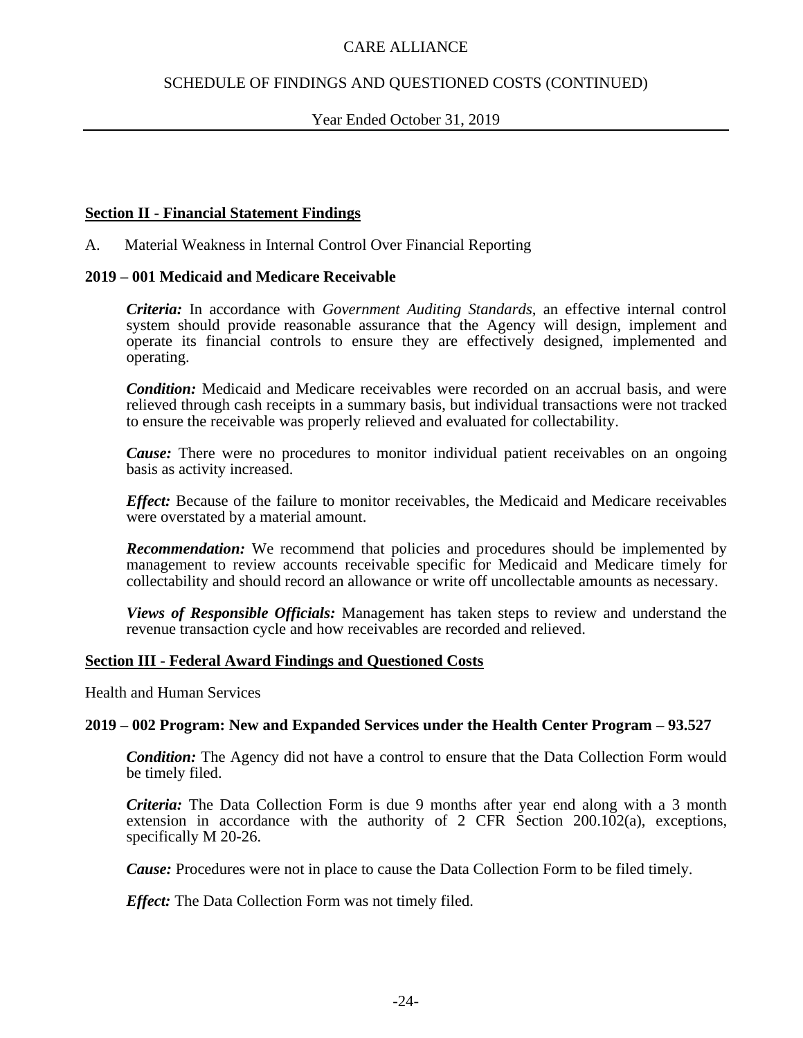# SCHEDULE OF FINDINGS AND QUESTIONED COSTS (CONTINUED)

# Year Ended October 31, 2019

## **Section II - Financial Statement Findings**

A. Material Weakness in Internal Control Over Financial Reporting

### **2019 – 001 Medicaid and Medicare Receivable**

*Criteria:* In accordance with *Government Auditing Standards*, an effective internal control system should provide reasonable assurance that the Agency will design, implement and operate its financial controls to ensure they are effectively designed, implemented and operating.

*Condition:* Medicaid and Medicare receivables were recorded on an accrual basis, and were relieved through cash receipts in a summary basis, but individual transactions were not tracked to ensure the receivable was properly relieved and evaluated for collectability.

*Cause:* There were no procedures to monitor individual patient receivables on an ongoing basis as activity increased.

*Effect:* Because of the failure to monitor receivables, the Medicaid and Medicare receivables were overstated by a material amount.

*Recommendation:* We recommend that policies and procedures should be implemented by management to review accounts receivable specific for Medicaid and Medicare timely for collectability and should record an allowance or write off uncollectable amounts as necessary.

*Views of Responsible Officials:* Management has taken steps to review and understand the revenue transaction cycle and how receivables are recorded and relieved.

### **Section III - Federal Award Findings and Questioned Costs**

Health and Human Services

### **2019 – 002 Program: New and Expanded Services under the Health Center Program – 93.527**

*Condition:* The Agency did not have a control to ensure that the Data Collection Form would be timely filed.

*Criteria:* The Data Collection Form is due 9 months after year end along with a 3 month extension in accordance with the authority of 2 CFR Section 200.102(a), exceptions, specifically M 20-26.

*Cause:* Procedures were not in place to cause the Data Collection Form to be filed timely.

*Effect:* The Data Collection Form was not timely filed.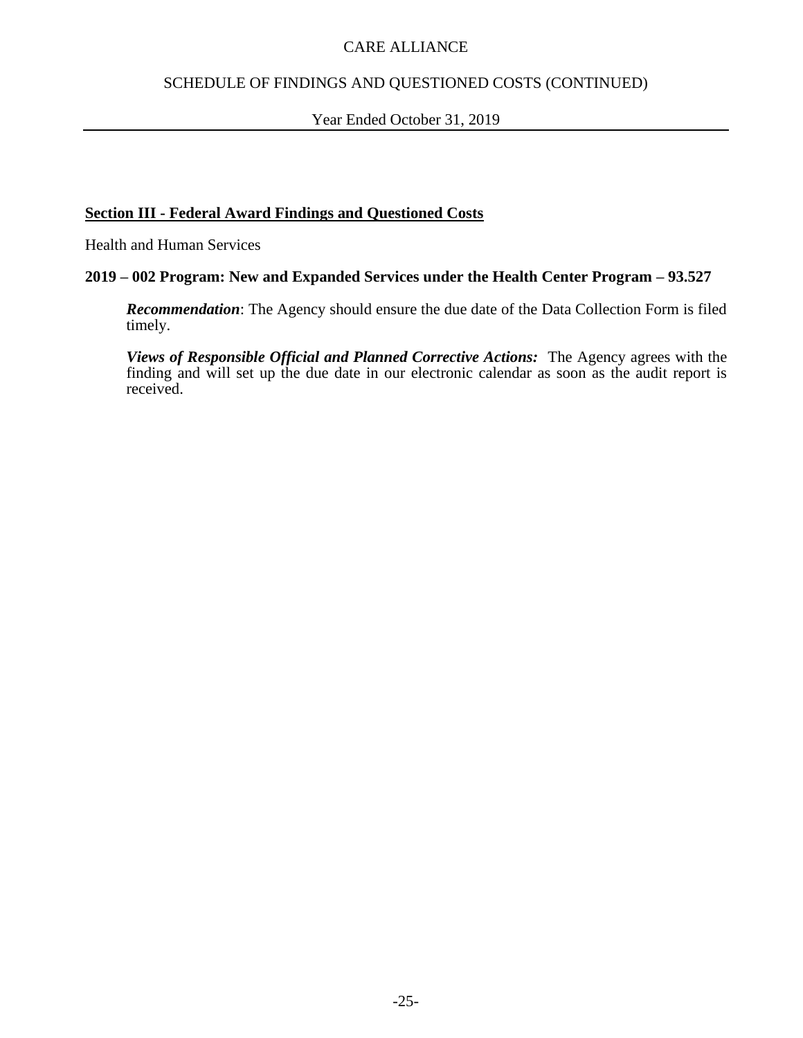# SCHEDULE OF FINDINGS AND QUESTIONED COSTS (CONTINUED)

# Year Ended October 31, 2019

# **Section III - Federal Award Findings and Questioned Costs**

Health and Human Services

## **2019 – 002 Program: New and Expanded Services under the Health Center Program – 93.527**

*Recommendation*: The Agency should ensure the due date of the Data Collection Form is filed timely.

*Views of Responsible Official and Planned Corrective Actions:* The Agency agrees with the finding and will set up the due date in our electronic calendar as soon as the audit report is received.